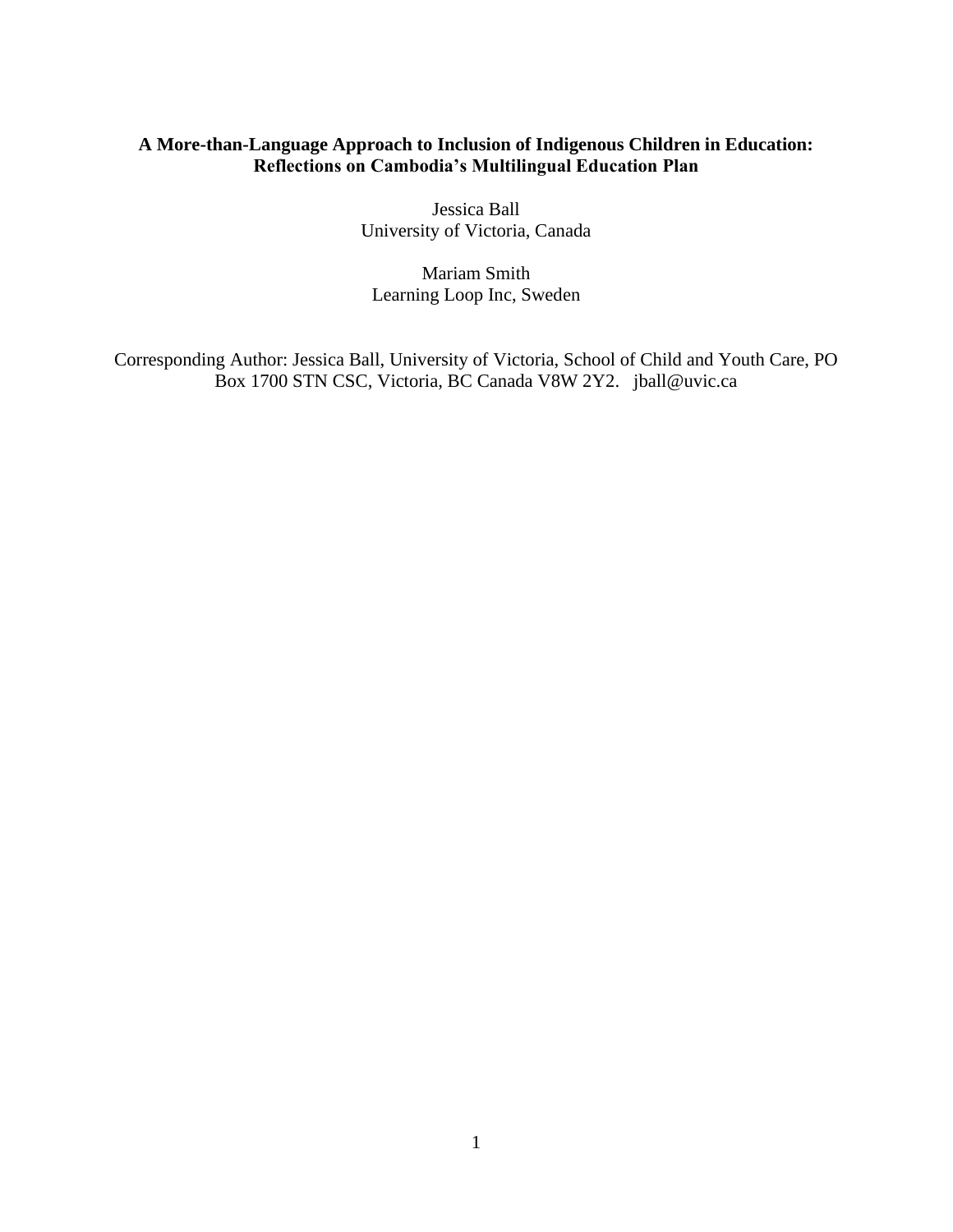# **A More-than-Language Approach to Inclusion of Indigenous Children in Education: Reflections on Cambodia's Multilingual Education Plan**

Jessica Ball University of Victoria, Canada

Mariam Smith Learning Loop Inc, Sweden

Corresponding Author: Jessica Ball, University of Victoria, School of Child and Youth Care, PO Box 1700 STN CSC, Victoria, BC Canada V8W 2Y2. jball@uvic.ca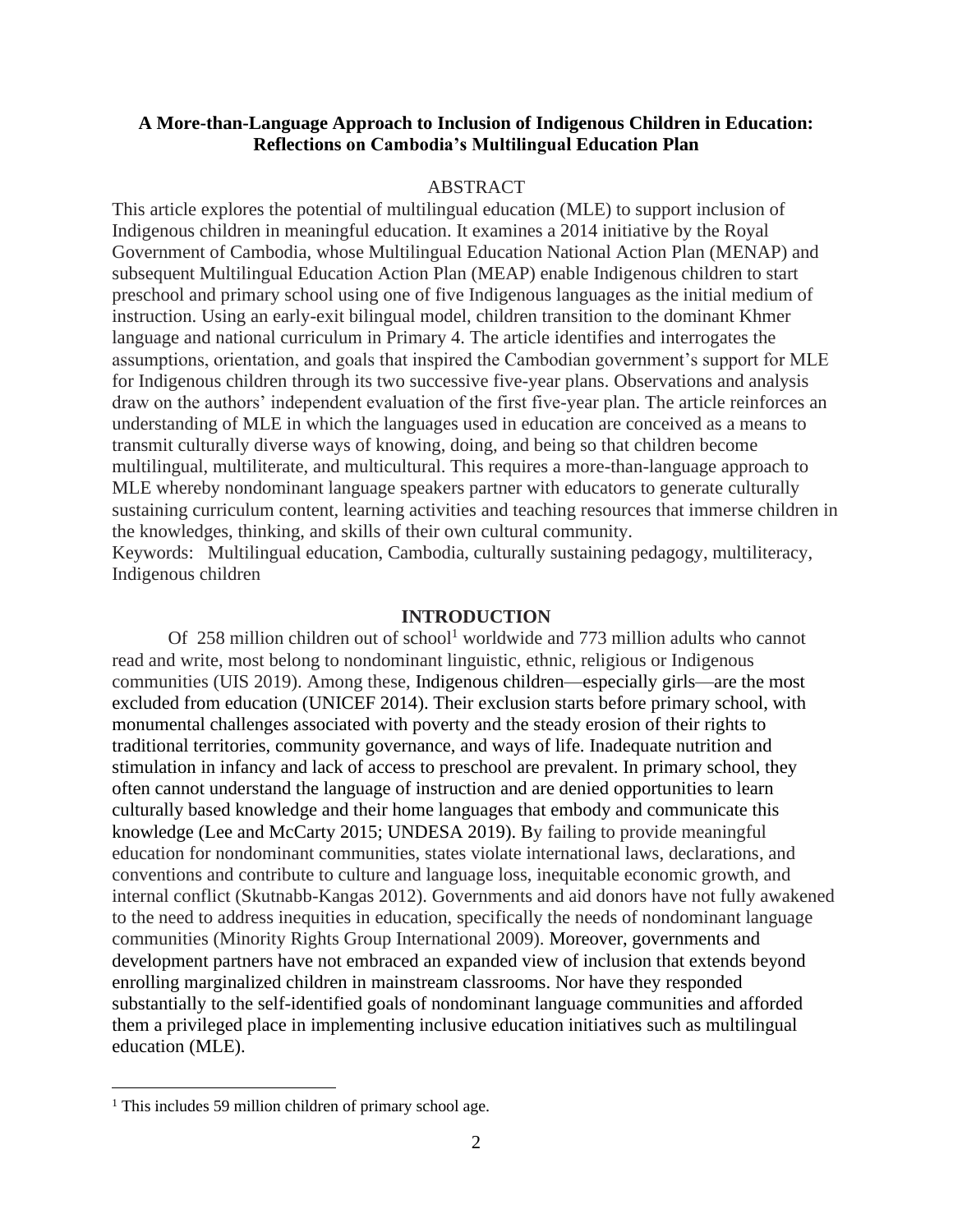# **A More-than-Language Approach to Inclusion of Indigenous Children in Education: Reflections on Cambodia's Multilingual Education Plan**

# ABSTRACT

This article explores the potential of multilingual education (MLE) to support inclusion of Indigenous children in meaningful education. It examines a 2014 initiative by the Royal Government of Cambodia, whose Multilingual Education National Action Plan (MENAP) and subsequent Multilingual Education Action Plan (MEAP) enable Indigenous children to start preschool and primary school using one of five Indigenous languages as the initial medium of instruction. Using an early-exit bilingual model, children transition to the dominant Khmer language and national curriculum in Primary 4. The article identifies and interrogates the assumptions, orientation, and goals that inspired the Cambodian government's support for MLE for Indigenous children through its two successive five-year plans. Observations and analysis draw on the authors' independent evaluation of the first five-year plan. The article reinforces an understanding of MLE in which the languages used in education are conceived as a means to transmit culturally diverse ways of knowing, doing, and being so that children become multilingual, multiliterate, and multicultural. This requires a more-than-language approach to MLE whereby nondominant language speakers partner with educators to generate culturally sustaining curriculum content, learning activities and teaching resources that immerse children in the knowledges, thinking, and skills of their own cultural community.

Keywords: Multilingual education, Cambodia, culturally sustaining pedagogy, multiliteracy, Indigenous children

### **INTRODUCTION**

Of 258 million children out of school<sup>1</sup> worldwide and 773 million adults who cannot read and write, most belong to nondominant linguistic, ethnic, religious or Indigenous communities (UIS 2019). Among these, Indigenous children—especially girls—are the most excluded from education (UNICEF 2014). Their exclusion starts before primary school, with monumental challenges associated with poverty and the steady erosion of their rights to traditional territories, community governance, and ways of life. Inadequate nutrition and stimulation in infancy and lack of access to preschool are prevalent. In primary school, they often cannot understand the language of instruction and are denied opportunities to learn culturally based knowledge and their home languages that embody and communicate this knowledge (Lee and McCarty 2015; UNDESA 2019). By failing to provide meaningful education for nondominant communities, states violate international laws, declarations, and conventions and contribute to culture and language loss, inequitable economic growth, and internal conflict (Skutnabb-Kangas 2012). Governments and aid donors have not fully awakened to the need to address inequities in education, specifically the needs of nondominant language communities (Minority Rights Group International 2009). Moreover, governments and development partners have not embraced an expanded view of inclusion that extends beyond enrolling marginalized children in mainstream classrooms. Nor have they responded substantially to the self-identified goals of nondominant language communities and afforded them a privileged place in implementing inclusive education initiatives such as multilingual education (MLE).

<sup>&</sup>lt;sup>1</sup> This includes 59 million children of primary school age.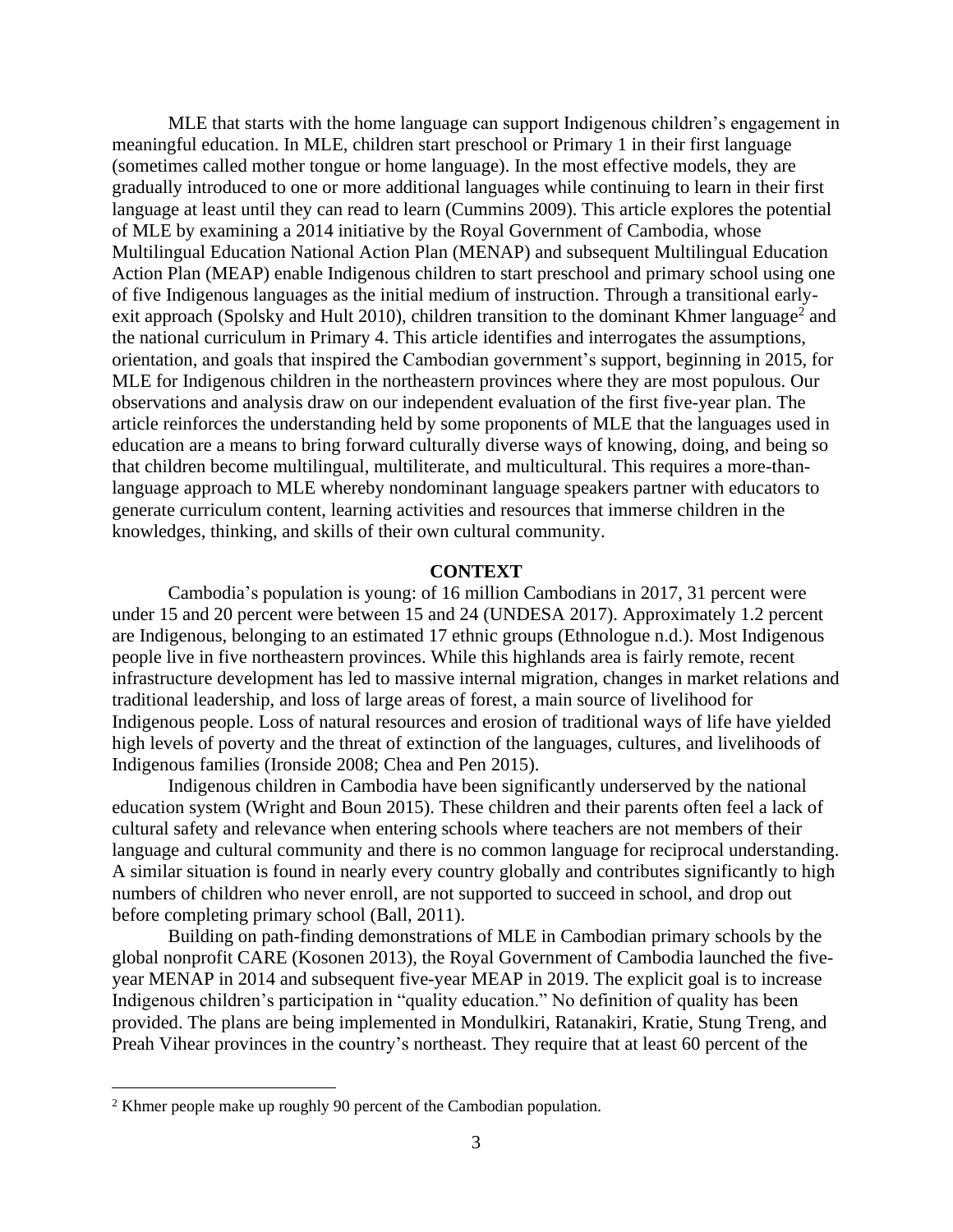MLE that starts with the home language can support Indigenous children's engagement in meaningful education. In MLE, children start preschool or Primary 1 in their first language (sometimes called mother tongue or home language). In the most effective models, they are gradually introduced to one or more additional languages while continuing to learn in their first language at least until they can read to learn (Cummins 2009). This article explores the potential of MLE by examining a 2014 initiative by the Royal Government of Cambodia, whose Multilingual Education National Action Plan (MENAP) and subsequent Multilingual Education Action Plan (MEAP) enable Indigenous children to start preschool and primary school using one of five Indigenous languages as the initial medium of instruction. Through a transitional earlyexit approach (Spolsky and Hult 2010), children transition to the dominant Khmer language<sup>2</sup> and the national curriculum in Primary 4. This article identifies and interrogates the assumptions, orientation, and goals that inspired the Cambodian government's support, beginning in 2015, for MLE for Indigenous children in the northeastern provinces where they are most populous. Our observations and analysis draw on our independent evaluation of the first five-year plan. The article reinforces the understanding held by some proponents of MLE that the languages used in education are a means to bring forward culturally diverse ways of knowing, doing, and being so that children become multilingual, multiliterate, and multicultural. This requires a more-thanlanguage approach to MLE whereby nondominant language speakers partner with educators to generate curriculum content, learning activities and resources that immerse children in the knowledges, thinking, and skills of their own cultural community.

### **CONTEXT**

Cambodia's population is young: of 16 million Cambodians in 2017, 31 percent were under 15 and 20 percent were between 15 and 24 (UNDESA 2017). Approximately 1.2 percent are Indigenous, belonging to an estimated 17 ethnic groups (Ethnologue n.d.). Most Indigenous people live in five northeastern provinces. While this highlands area is fairly remote, recent infrastructure development has led to massive internal migration, changes in market relations and traditional leadership, and loss of large areas of forest, a main source of livelihood for Indigenous people. Loss of natural resources and erosion of traditional ways of life have yielded high levels of poverty and the threat of extinction of the languages, cultures, and livelihoods of Indigenous families (Ironside 2008; Chea and Pen 2015).

Indigenous children in Cambodia have been significantly underserved by the national education system (Wright and Boun 2015). These children and their parents often feel a lack of cultural safety and relevance when entering schools where teachers are not members of their language and cultural community and there is no common language for reciprocal understanding. A similar situation is found in nearly every country globally and contributes significantly to high numbers of children who never enroll, are not supported to succeed in school, and drop out before completing primary school (Ball, 2011).

Building on path-finding demonstrations of MLE in Cambodian primary schools by the global nonprofit CARE (Kosonen 2013), the Royal Government of Cambodia launched the fiveyear MENAP in 2014 and subsequent five-year MEAP in 2019. The explicit goal is to increase Indigenous children's participation in "quality education." No definition of quality has been provided. The plans are being implemented in Mondulkiri, Ratanakiri, Kratie, Stung Treng, and Preah Vihear provinces in the country's northeast. They require that at least 60 percent of the

<sup>2</sup> Khmer people make up roughly 90 percent of the Cambodian population.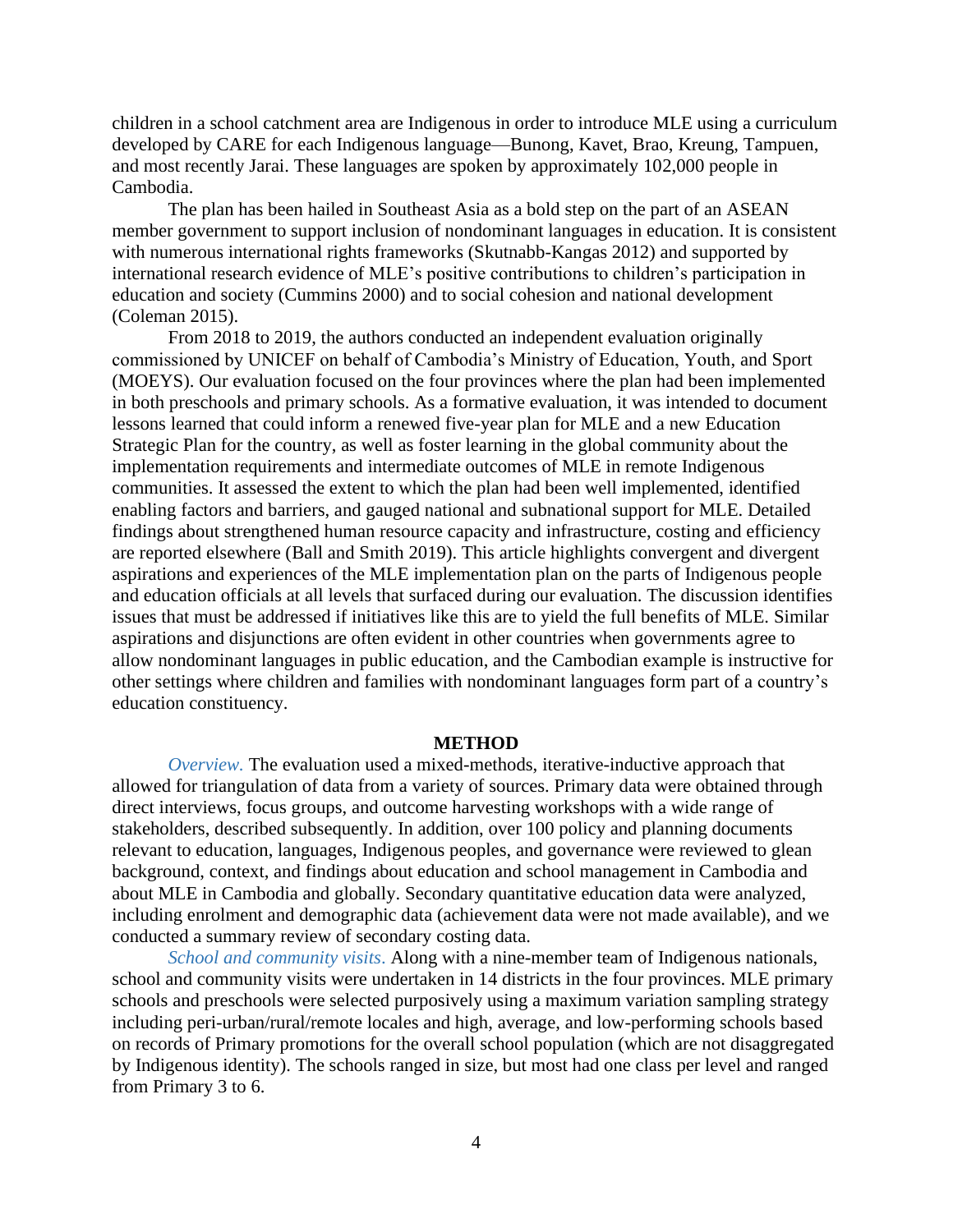children in a school catchment area are Indigenous in order to introduce MLE using a curriculum developed by CARE for each Indigenous language—Bunong, Kavet, Brao, Kreung, Tampuen, and most recently Jarai. These languages are spoken by approximately 102,000 people in Cambodia.

The plan has been hailed in Southeast Asia as a bold step on the part of an ASEAN member government to support inclusion of nondominant languages in education. It is consistent with numerous international rights frameworks (Skutnabb-Kangas 2012) and supported by international research evidence of MLE's positive contributions to children's participation in education and society (Cummins 2000) and to social cohesion and national development (Coleman 2015).

From 2018 to 2019, the authors conducted an independent evaluation originally commissioned by UNICEF on behalf of Cambodia's Ministry of Education, Youth, and Sport (MOEYS). Our evaluation focused on the four provinces where the plan had been implemented in both preschools and primary schools. As a formative evaluation, it was intended to document lessons learned that could inform a renewed five-year plan for MLE and a new Education Strategic Plan for the country, as well as foster learning in the global community about the implementation requirements and intermediate outcomes of MLE in remote Indigenous communities. It assessed the extent to which the plan had been well implemented, identified enabling factors and barriers, and gauged national and subnational support for MLE. Detailed findings about strengthened human resource capacity and infrastructure, costing and efficiency are reported elsewhere (Ball and Smith 2019). This article highlights convergent and divergent aspirations and experiences of the MLE implementation plan on the parts of Indigenous people and education officials at all levels that surfaced during our evaluation. The discussion identifies issues that must be addressed if initiatives like this are to yield the full benefits of MLE. Similar aspirations and disjunctions are often evident in other countries when governments agree to allow nondominant languages in public education, and the Cambodian example is instructive for other settings where children and families with nondominant languages form part of a country's education constituency.

# **METHOD**

*Overview.* The evaluation used a mixed-methods, iterative-inductive approach that allowed for triangulation of data from a variety of sources. Primary data were obtained through direct interviews, focus groups, and outcome harvesting workshops with a wide range of stakeholders, described subsequently. In addition, over 100 policy and planning documents relevant to education, languages, Indigenous peoples, and governance were reviewed to glean background, context, and findings about education and school management in Cambodia and about MLE in Cambodia and globally. Secondary quantitative education data were analyzed, including enrolment and demographic data (achievement data were not made available), and we conducted a summary review of secondary costing data.

*School and community visits*. Along with a nine-member team of Indigenous nationals, school and community visits were undertaken in 14 districts in the four provinces. MLE primary schools and preschools were selected purposively using a maximum variation sampling strategy including peri-urban/rural/remote locales and high, average, and low-performing schools based on records of Primary promotions for the overall school population (which are not disaggregated by Indigenous identity). The schools ranged in size, but most had one class per level and ranged from Primary 3 to 6.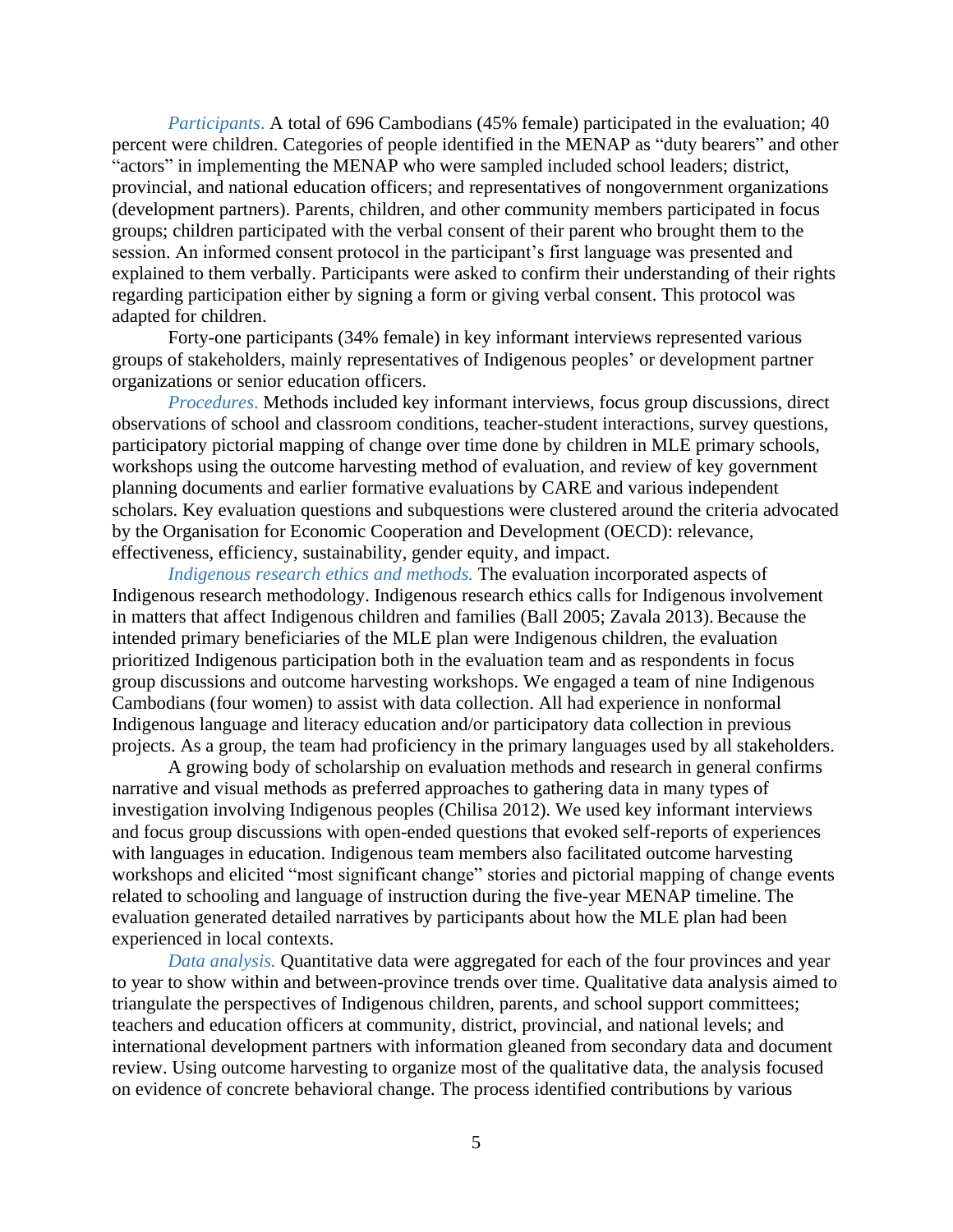*Participants*. A total of 696 Cambodians (45% female) participated in the evaluation; 40 percent were children. Categories of people identified in the MENAP as "duty bearers" and other "actors" in implementing the MENAP who were sampled included school leaders; district, provincial, and national education officers; and representatives of nongovernment organizations (development partners). Parents, children, and other community members participated in focus groups; children participated with the verbal consent of their parent who brought them to the session. An informed consent protocol in the participant's first language was presented and explained to them verbally. Participants were asked to confirm their understanding of their rights regarding participation either by signing a form or giving verbal consent. This protocol was adapted for children.

Forty-one participants (34% female) in key informant interviews represented various groups of stakeholders, mainly representatives of Indigenous peoples' or development partner organizations or senior education officers.

*Procedures*. Methods included key informant interviews, focus group discussions, direct observations of school and classroom conditions, teacher-student interactions, survey questions, participatory pictorial mapping of change over time done by children in MLE primary schools, workshops using the outcome harvesting method of evaluation, and review of key government planning documents and earlier formative evaluations by CARE and various independent scholars. Key evaluation questions and subquestions were clustered around the criteria advocated by the Organisation for Economic Cooperation and Development (OECD): relevance, effectiveness, efficiency, sustainability, gender equity, and impact.

*Indigenous research ethics and methods.* The evaluation incorporated aspects of Indigenous research methodology. Indigenous research ethics calls for Indigenous involvement in matters that affect Indigenous children and families (Ball 2005; Zavala 2013). Because the intended primary beneficiaries of the MLE plan were Indigenous children, the evaluation prioritized Indigenous participation both in the evaluation team and as respondents in focus group discussions and outcome harvesting workshops. We engaged a team of nine Indigenous Cambodians (four women) to assist with data collection. All had experience in nonformal Indigenous language and literacy education and/or participatory data collection in previous projects. As a group, the team had proficiency in the primary languages used by all stakeholders.

A growing body of scholarship on evaluation methods and research in general confirms narrative and visual methods as preferred approaches to gathering data in many types of investigation involving Indigenous peoples (Chilisa 2012). We used key informant interviews and focus group discussions with open-ended questions that evoked self-reports of experiences with languages in education. Indigenous team members also facilitated outcome harvesting workshops and elicited "most significant change" stories and pictorial mapping of change events related to schooling and language of instruction during the five-year MENAP timeline. The evaluation generated detailed narratives by participants about how the MLE plan had been experienced in local contexts.

*Data analysis.* Quantitative data were aggregated for each of the four provinces and year to year to show within and between-province trends over time. Qualitative data analysis aimed to triangulate the perspectives of Indigenous children, parents, and school support committees; teachers and education officers at community, district, provincial, and national levels; and international development partners with information gleaned from secondary data and document review. Using outcome harvesting to organize most of the qualitative data, the analysis focused on evidence of concrete behavioral change. The process identified contributions by various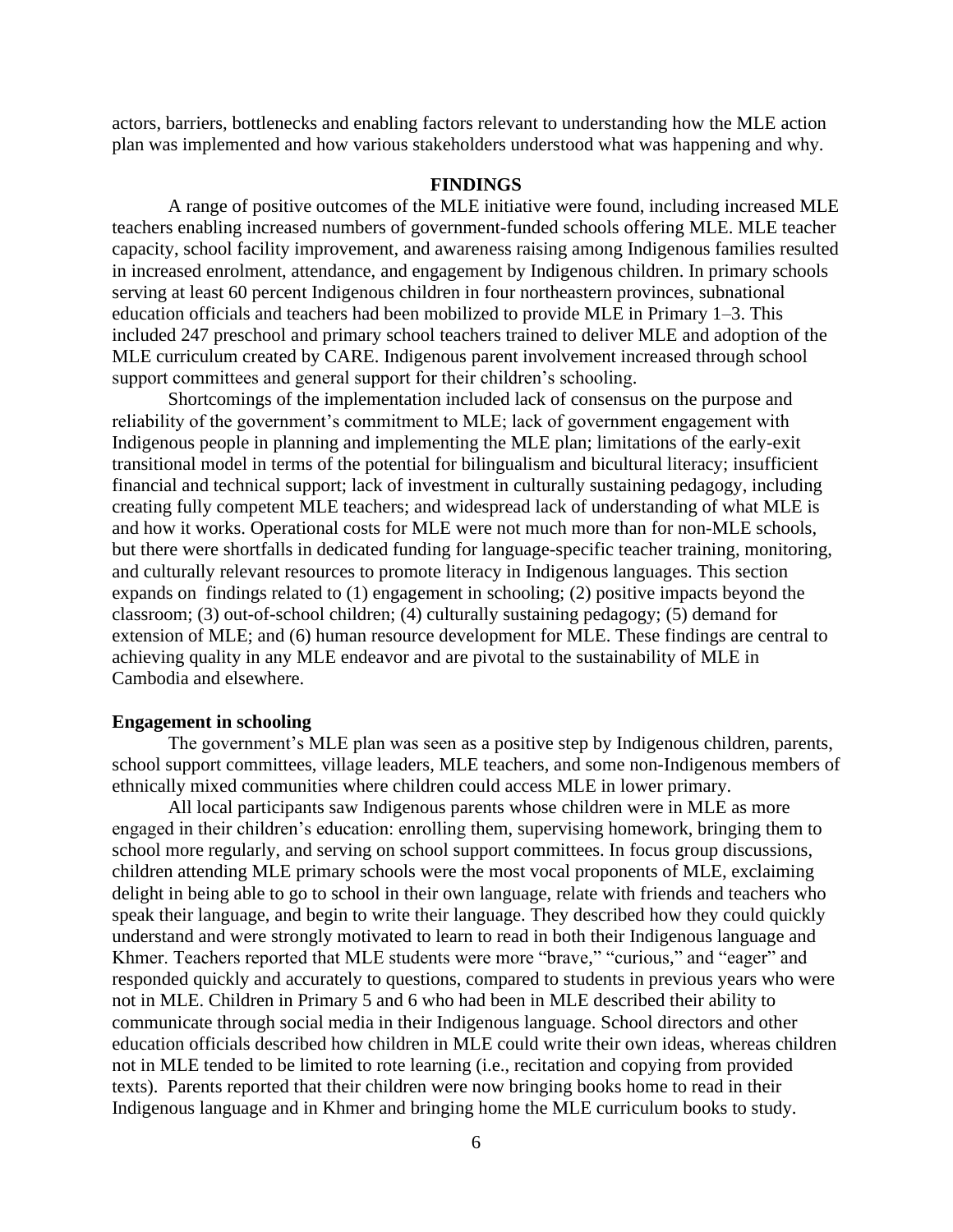actors, barriers, bottlenecks and enabling factors relevant to understanding how the MLE action plan was implemented and how various stakeholders understood what was happening and why.

#### **FINDINGS**

A range of positive outcomes of the MLE initiative were found, including increased MLE teachers enabling increased numbers of government-funded schools offering MLE. MLE teacher capacity, school facility improvement, and awareness raising among Indigenous families resulted in increased enrolment, attendance, and engagement by Indigenous children. In primary schools serving at least 60 percent Indigenous children in four northeastern provinces, subnational education officials and teachers had been mobilized to provide MLE in Primary 1–3. This included 247 preschool and primary school teachers trained to deliver MLE and adoption of the MLE curriculum created by CARE. Indigenous parent involvement increased through school support committees and general support for their children's schooling.

Shortcomings of the implementation included lack of consensus on the purpose and reliability of the government's commitment to MLE; lack of government engagement with Indigenous people in planning and implementing the MLE plan; limitations of the early-exit transitional model in terms of the potential for bilingualism and bicultural literacy; insufficient financial and technical support; lack of investment in culturally sustaining pedagogy, including creating fully competent MLE teachers; and widespread lack of understanding of what MLE is and how it works. Operational costs for MLE were not much more than for non-MLE schools, but there were shortfalls in dedicated funding for language-specific teacher training, monitoring, and culturally relevant resources to promote literacy in Indigenous languages. This section expands on findings related to (1) engagement in schooling; (2) positive impacts beyond the classroom; (3) out-of-school children; (4) culturally sustaining pedagogy; (5) demand for extension of MLE; and (6) human resource development for MLE. These findings are central to achieving quality in any MLE endeavor and are pivotal to the sustainability of MLE in Cambodia and elsewhere.

# **Engagement in schooling**

The government's MLE plan was seen as a positive step by Indigenous children, parents, school support committees, village leaders, MLE teachers, and some non-Indigenous members of ethnically mixed communities where children could access MLE in lower primary.

All local participants saw Indigenous parents whose children were in MLE as more engaged in their children's education: enrolling them, supervising homework, bringing them to school more regularly, and serving on school support committees. In focus group discussions, children attending MLE primary schools were the most vocal proponents of MLE, exclaiming delight in being able to go to school in their own language, relate with friends and teachers who speak their language, and begin to write their language. They described how they could quickly understand and were strongly motivated to learn to read in both their Indigenous language and Khmer. Teachers reported that MLE students were more "brave," "curious," and "eager" and responded quickly and accurately to questions, compared to students in previous years who were not in MLE. Children in Primary 5 and 6 who had been in MLE described their ability to communicate through social media in their Indigenous language. School directors and other education officials described how children in MLE could write their own ideas, whereas children not in MLE tended to be limited to rote learning (i.e., recitation and copying from provided texts). Parents reported that their children were now bringing books home to read in their Indigenous language and in Khmer and bringing home the MLE curriculum books to study.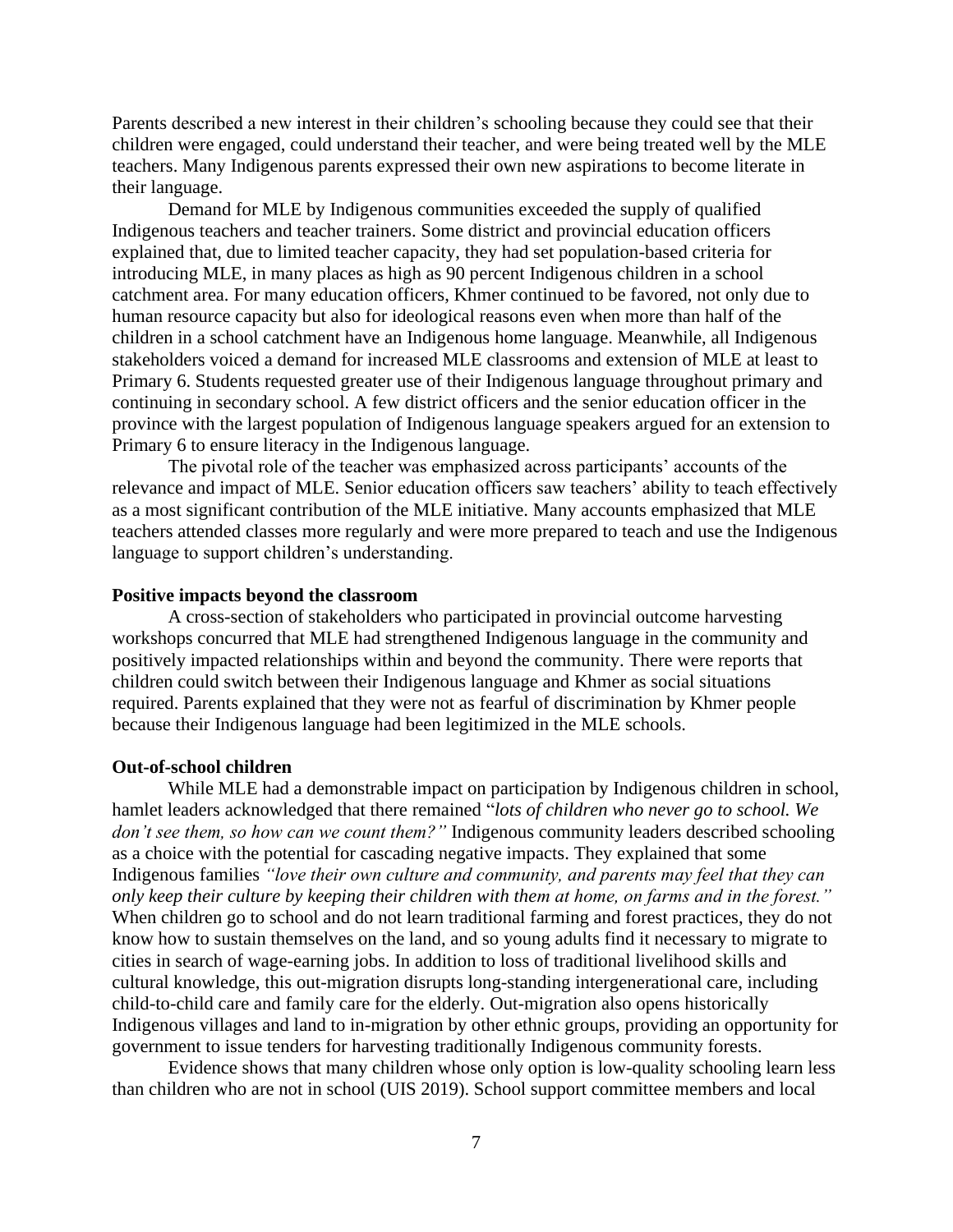Parents described a new interest in their children's schooling because they could see that their children were engaged, could understand their teacher, and were being treated well by the MLE teachers. Many Indigenous parents expressed their own new aspirations to become literate in their language.

Demand for MLE by Indigenous communities exceeded the supply of qualified Indigenous teachers and teacher trainers. Some district and provincial education officers explained that, due to limited teacher capacity, they had set population-based criteria for introducing MLE, in many places as high as 90 percent Indigenous children in a school catchment area. For many education officers, Khmer continued to be favored, not only due to human resource capacity but also for ideological reasons even when more than half of the children in a school catchment have an Indigenous home language. Meanwhile, all Indigenous stakeholders voiced a demand for increased MLE classrooms and extension of MLE at least to Primary 6. Students requested greater use of their Indigenous language throughout primary and continuing in secondary school. A few district officers and the senior education officer in the province with the largest population of Indigenous language speakers argued for an extension to Primary 6 to ensure literacy in the Indigenous language.

The pivotal role of the teacher was emphasized across participants' accounts of the relevance and impact of MLE. Senior education officers saw teachers' ability to teach effectively as a most significant contribution of the MLE initiative. Many accounts emphasized that MLE teachers attended classes more regularly and were more prepared to teach and use the Indigenous language to support children's understanding.

#### **Positive impacts beyond the classroom**

A cross-section of stakeholders who participated in provincial outcome harvesting workshops concurred that MLE had strengthened Indigenous language in the community and positively impacted relationships within and beyond the community. There were reports that children could switch between their Indigenous language and Khmer as social situations required. Parents explained that they were not as fearful of discrimination by Khmer people because their Indigenous language had been legitimized in the MLE schools.

### **Out-of-school children**

While MLE had a demonstrable impact on participation by Indigenous children in school, hamlet leaders acknowledged that there remained "*lots of children who never go to school. We don't see them, so how can we count them?"* Indigenous community leaders described schooling as a choice with the potential for cascading negative impacts. They explained that some Indigenous families *"love their own culture and community, and parents may feel that they can only keep their culture by keeping their children with them at home, on farms and in the forest."*  When children go to school and do not learn traditional farming and forest practices, they do not know how to sustain themselves on the land, and so young adults find it necessary to migrate to cities in search of wage-earning jobs. In addition to loss of traditional livelihood skills and cultural knowledge, this out-migration disrupts long-standing intergenerational care, including child-to-child care and family care for the elderly. Out-migration also opens historically Indigenous villages and land to in-migration by other ethnic groups, providing an opportunity for government to issue tenders for harvesting traditionally Indigenous community forests.

Evidence shows that many children whose only option is low-quality schooling learn less than children who are not in school (UIS 2019). School support committee members and local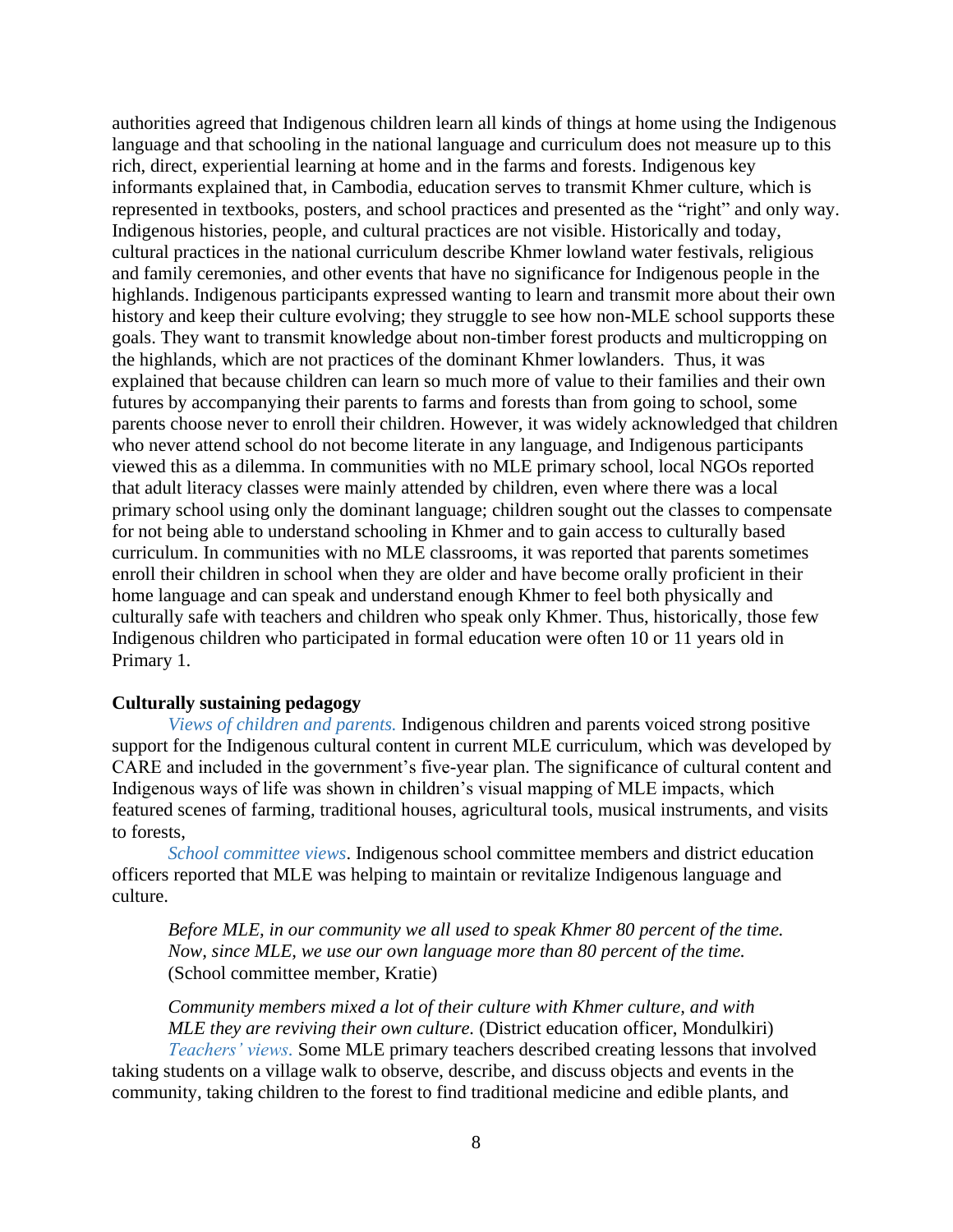authorities agreed that Indigenous children learn all kinds of things at home using the Indigenous language and that schooling in the national language and curriculum does not measure up to this rich, direct, experiential learning at home and in the farms and forests. Indigenous key informants explained that, in Cambodia, education serves to transmit Khmer culture, which is represented in textbooks, posters, and school practices and presented as the "right" and only way. Indigenous histories, people, and cultural practices are not visible. Historically and today, cultural practices in the national curriculum describe Khmer lowland water festivals, religious and family ceremonies, and other events that have no significance for Indigenous people in the highlands. Indigenous participants expressed wanting to learn and transmit more about their own history and keep their culture evolving; they struggle to see how non-MLE school supports these goals. They want to transmit knowledge about non-timber forest products and multicropping on the highlands, which are not practices of the dominant Khmer lowlanders. Thus, it was explained that because children can learn so much more of value to their families and their own futures by accompanying their parents to farms and forests than from going to school, some parents choose never to enroll their children. However, it was widely acknowledged that children who never attend school do not become literate in any language, and Indigenous participants viewed this as a dilemma. In communities with no MLE primary school, local NGOs reported that adult literacy classes were mainly attended by children, even where there was a local primary school using only the dominant language; children sought out the classes to compensate for not being able to understand schooling in Khmer and to gain access to culturally based curriculum. In communities with no MLE classrooms, it was reported that parents sometimes enroll their children in school when they are older and have become orally proficient in their home language and can speak and understand enough Khmer to feel both physically and culturally safe with teachers and children who speak only Khmer. Thus, historically, those few Indigenous children who participated in formal education were often 10 or 11 years old in Primary 1.

# **Culturally sustaining pedagogy**

*Views of children and parents.* Indigenous children and parents voiced strong positive support for the Indigenous cultural content in current MLE curriculum, which was developed by CARE and included in the government's five-year plan. The significance of cultural content and Indigenous ways of life was shown in children's visual mapping of MLE impacts, which featured scenes of farming, traditional houses, agricultural tools, musical instruments, and visits to forests,

*School committee views*. Indigenous school committee members and district education officers reported that MLE was helping to maintain or revitalize Indigenous language and culture.

*Before MLE, in our community we all used to speak Khmer 80 percent of the time. Now, since MLE, we use our own language more than 80 percent of the time.*  (School committee member, Kratie)

*Community members mixed a lot of their culture with Khmer culture, and with MLE they are reviving their own culture.* (District education officer, Mondulkiri) *Teachers' views.* Some MLE primary teachers described creating lessons that involved

taking students on a village walk to observe, describe, and discuss objects and events in the community, taking children to the forest to find traditional medicine and edible plants, and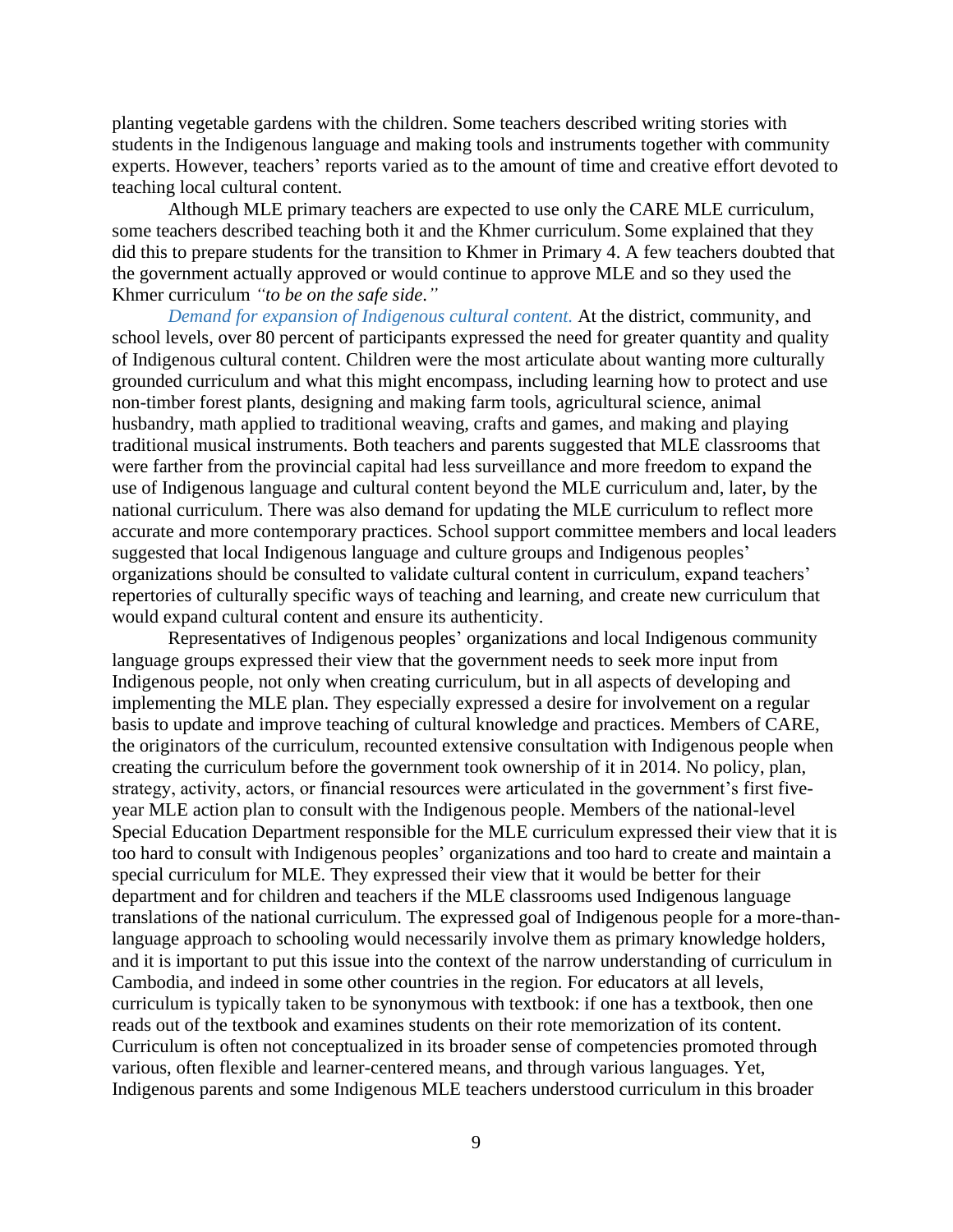planting vegetable gardens with the children. Some teachers described writing stories with students in the Indigenous language and making tools and instruments together with community experts. However, teachers' reports varied as to the amount of time and creative effort devoted to teaching local cultural content.

Although MLE primary teachers are expected to use only the CARE MLE curriculum, some teachers described teaching both it and the Khmer curriculum. Some explained that they did this to prepare students for the transition to Khmer in Primary 4. A few teachers doubted that the government actually approved or would continue to approve MLE and so they used the Khmer curriculum *"to be on the safe side*.*"*

*Demand for expansion of Indigenous cultural content.* At the district, community, and school levels, over 80 percent of participants expressed the need for greater quantity and quality of Indigenous cultural content. Children were the most articulate about wanting more culturally grounded curriculum and what this might encompass, including learning how to protect and use non-timber forest plants, designing and making farm tools, agricultural science, animal husbandry, math applied to traditional weaving, crafts and games, and making and playing traditional musical instruments. Both teachers and parents suggested that MLE classrooms that were farther from the provincial capital had less surveillance and more freedom to expand the use of Indigenous language and cultural content beyond the MLE curriculum and, later, by the national curriculum. There was also demand for updating the MLE curriculum to reflect more accurate and more contemporary practices. School support committee members and local leaders suggested that local Indigenous language and culture groups and Indigenous peoples' organizations should be consulted to validate cultural content in curriculum, expand teachers' repertories of culturally specific ways of teaching and learning, and create new curriculum that would expand cultural content and ensure its authenticity.

Representatives of Indigenous peoples' organizations and local Indigenous community language groups expressed their view that the government needs to seek more input from Indigenous people, not only when creating curriculum, but in all aspects of developing and implementing the MLE plan. They especially expressed a desire for involvement on a regular basis to update and improve teaching of cultural knowledge and practices. Members of CARE, the originators of the curriculum, recounted extensive consultation with Indigenous people when creating the curriculum before the government took ownership of it in 2014. No policy, plan, strategy, activity, actors, or financial resources were articulated in the government's first fiveyear MLE action plan to consult with the Indigenous people. Members of the national-level Special Education Department responsible for the MLE curriculum expressed their view that it is too hard to consult with Indigenous peoples' organizations and too hard to create and maintain a special curriculum for MLE. They expressed their view that it would be better for their department and for children and teachers if the MLE classrooms used Indigenous language translations of the national curriculum. The expressed goal of Indigenous people for a more-thanlanguage approach to schooling would necessarily involve them as primary knowledge holders, and it is important to put this issue into the context of the narrow understanding of curriculum in Cambodia, and indeed in some other countries in the region. For educators at all levels, curriculum is typically taken to be synonymous with textbook: if one has a textbook, then one reads out of the textbook and examines students on their rote memorization of its content. Curriculum is often not conceptualized in its broader sense of competencies promoted through various, often flexible and learner-centered means, and through various languages. Yet, Indigenous parents and some Indigenous MLE teachers understood curriculum in this broader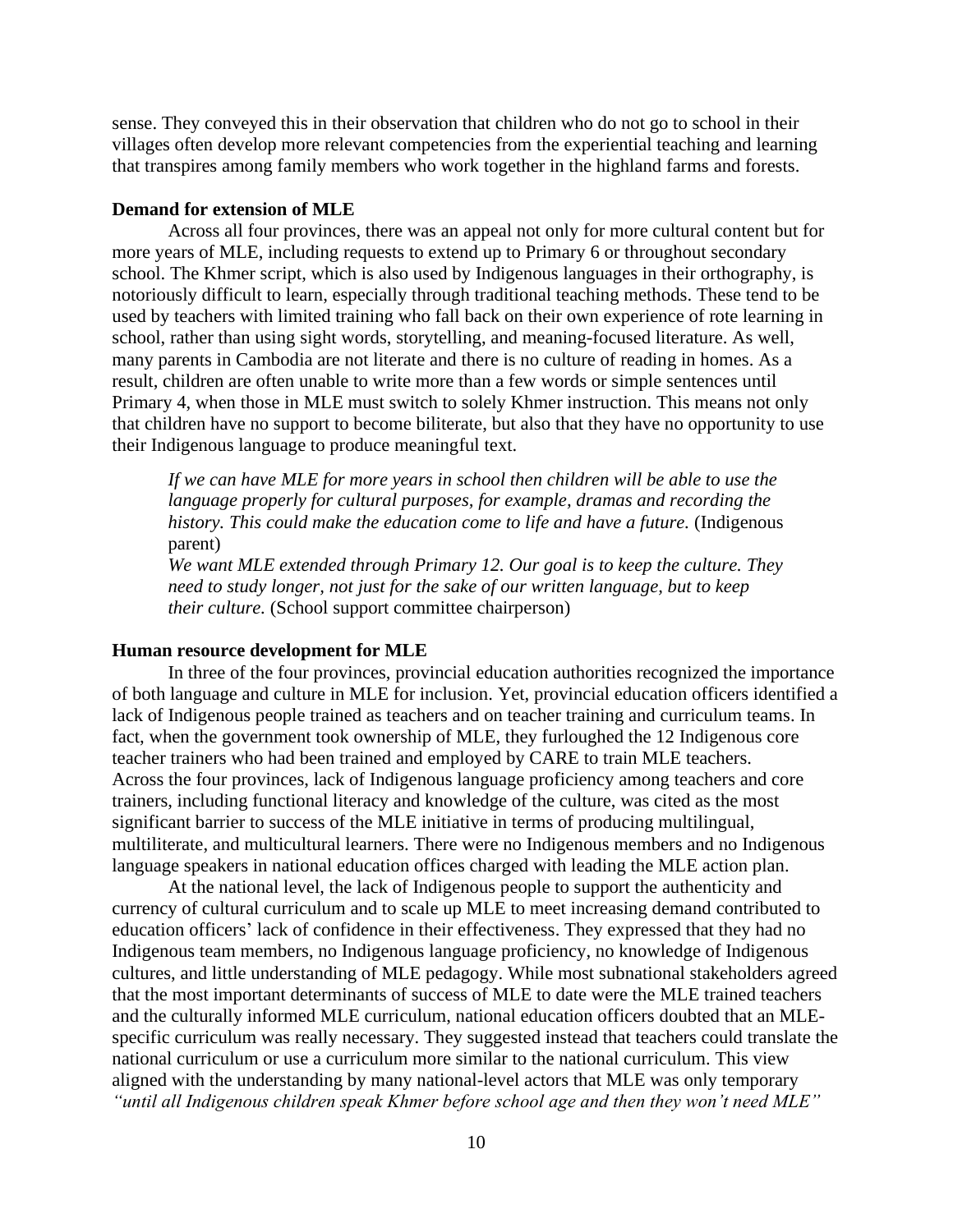sense. They conveyed this in their observation that children who do not go to school in their villages often develop more relevant competencies from the experiential teaching and learning that transpires among family members who work together in the highland farms and forests.

# **Demand for extension of MLE**

Across all four provinces, there was an appeal not only for more cultural content but for more years of MLE, including requests to extend up to Primary 6 or throughout secondary school. The Khmer script, which is also used by Indigenous languages in their orthography, is notoriously difficult to learn, especially through traditional teaching methods. These tend to be used by teachers with limited training who fall back on their own experience of rote learning in school, rather than using sight words, storytelling, and meaning-focused literature. As well, many parents in Cambodia are not literate and there is no culture of reading in homes. As a result, children are often unable to write more than a few words or simple sentences until Primary 4, when those in MLE must switch to solely Khmer instruction. This means not only that children have no support to become biliterate, but also that they have no opportunity to use their Indigenous language to produce meaningful text.

If we can have MLE for more years in school then children will be able to use the *language properly for cultural purposes, for example, dramas and recording the history. This could make the education come to life and have a future.* (Indigenous parent)

*We want MLE extended through Primary 12. Our goal is to keep the culture. They need to study longer, not just for the sake of our written language, but to keep their culture.* (School support committee chairperson)

### **Human resource development for MLE**

In three of the four provinces, provincial education authorities recognized the importance of both language and culture in MLE for inclusion. Yet, provincial education officers identified a lack of Indigenous people trained as teachers and on teacher training and curriculum teams. In fact, when the government took ownership of MLE, they furloughed the 12 Indigenous core teacher trainers who had been trained and employed by CARE to train MLE teachers. Across the four provinces, lack of Indigenous language proficiency among teachers and core trainers, including functional literacy and knowledge of the culture, was cited as the most significant barrier to success of the MLE initiative in terms of producing multilingual, multiliterate, and multicultural learners. There were no Indigenous members and no Indigenous language speakers in national education offices charged with leading the MLE action plan.

At the national level, the lack of Indigenous people to support the authenticity and currency of cultural curriculum and to scale up MLE to meet increasing demand contributed to education officers' lack of confidence in their effectiveness. They expressed that they had no Indigenous team members, no Indigenous language proficiency, no knowledge of Indigenous cultures, and little understanding of MLE pedagogy. While most subnational stakeholders agreed that the most important determinants of success of MLE to date were the MLE trained teachers and the culturally informed MLE curriculum, national education officers doubted that an MLEspecific curriculum was really necessary. They suggested instead that teachers could translate the national curriculum or use a curriculum more similar to the national curriculum. This view aligned with the understanding by many national-level actors that MLE was only temporary *"until all Indigenous children speak Khmer before school age and then they won't need MLE"*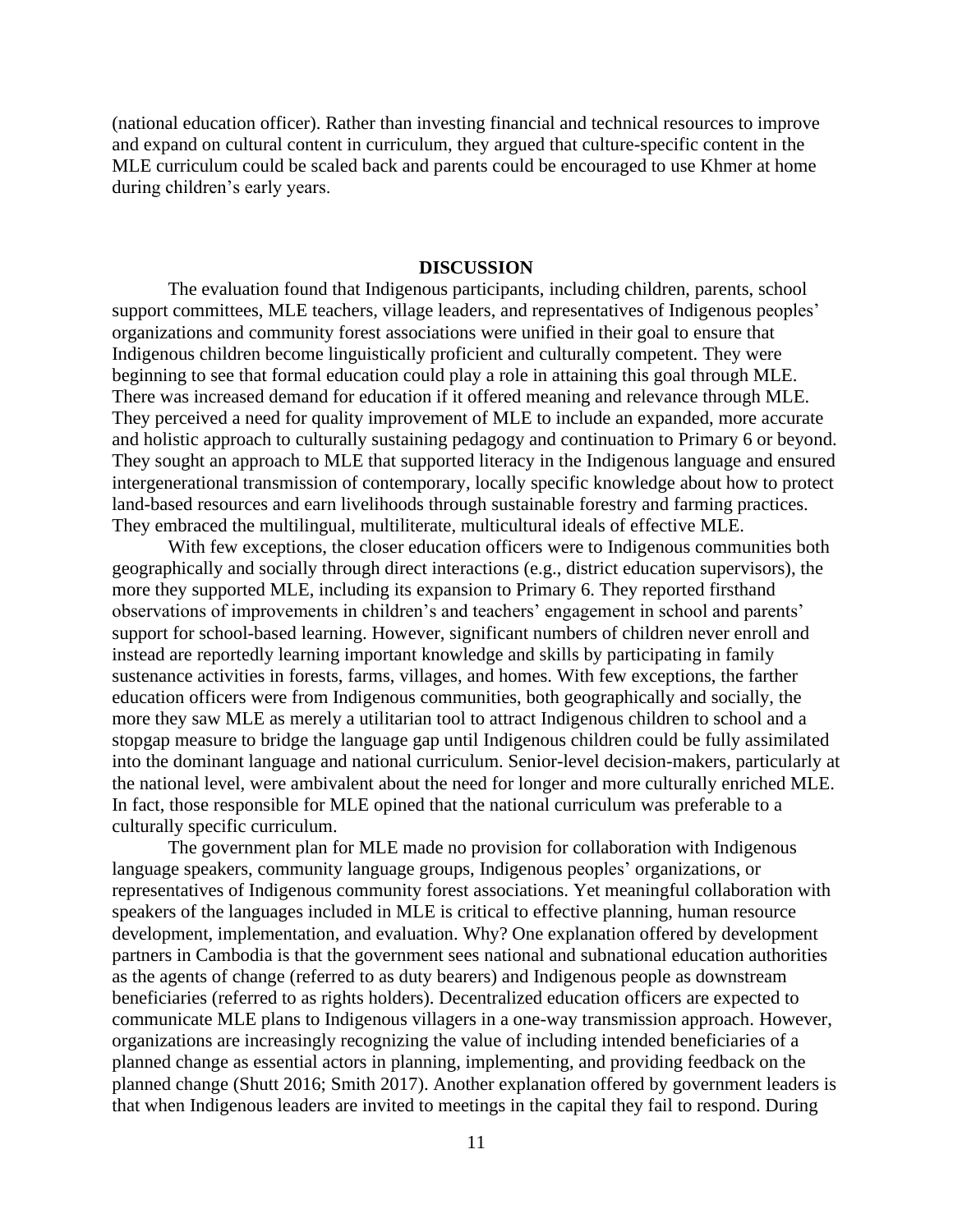(national education officer). Rather than investing financial and technical resources to improve and expand on cultural content in curriculum, they argued that culture-specific content in the MLE curriculum could be scaled back and parents could be encouraged to use Khmer at home during children's early years.

### **DISCUSSION**

The evaluation found that Indigenous participants, including children, parents, school support committees, MLE teachers, village leaders, and representatives of Indigenous peoples' organizations and community forest associations were unified in their goal to ensure that Indigenous children become linguistically proficient and culturally competent. They were beginning to see that formal education could play a role in attaining this goal through MLE. There was increased demand for education if it offered meaning and relevance through MLE. They perceived a need for quality improvement of MLE to include an expanded, more accurate and holistic approach to culturally sustaining pedagogy and continuation to Primary 6 or beyond. They sought an approach to MLE that supported literacy in the Indigenous language and ensured intergenerational transmission of contemporary, locally specific knowledge about how to protect land-based resources and earn livelihoods through sustainable forestry and farming practices. They embraced the multilingual, multiliterate, multicultural ideals of effective MLE.

With few exceptions, the closer education officers were to Indigenous communities both geographically and socially through direct interactions (e.g., district education supervisors), the more they supported MLE, including its expansion to Primary 6. They reported firsthand observations of improvements in children's and teachers' engagement in school and parents' support for school-based learning. However, significant numbers of children never enroll and instead are reportedly learning important knowledge and skills by participating in family sustenance activities in forests, farms, villages, and homes. With few exceptions, the farther education officers were from Indigenous communities, both geographically and socially, the more they saw MLE as merely a utilitarian tool to attract Indigenous children to school and a stopgap measure to bridge the language gap until Indigenous children could be fully assimilated into the dominant language and national curriculum. Senior-level decision-makers, particularly at the national level, were ambivalent about the need for longer and more culturally enriched MLE. In fact, those responsible for MLE opined that the national curriculum was preferable to a culturally specific curriculum.

The government plan for MLE made no provision for collaboration with Indigenous language speakers, community language groups, Indigenous peoples' organizations, or representatives of Indigenous community forest associations. Yet meaningful collaboration with speakers of the languages included in MLE is critical to effective planning, human resource development, implementation, and evaluation. Why? One explanation offered by development partners in Cambodia is that the government sees national and subnational education authorities as the agents of change (referred to as duty bearers) and Indigenous people as downstream beneficiaries (referred to as rights holders). Decentralized education officers are expected to communicate MLE plans to Indigenous villagers in a one-way transmission approach. However, organizations are increasingly recognizing the value of including intended beneficiaries of a planned change as essential actors in planning, implementing, and providing feedback on the planned change (Shutt 2016; Smith 2017). Another explanation offered by government leaders is that when Indigenous leaders are invited to meetings in the capital they fail to respond. During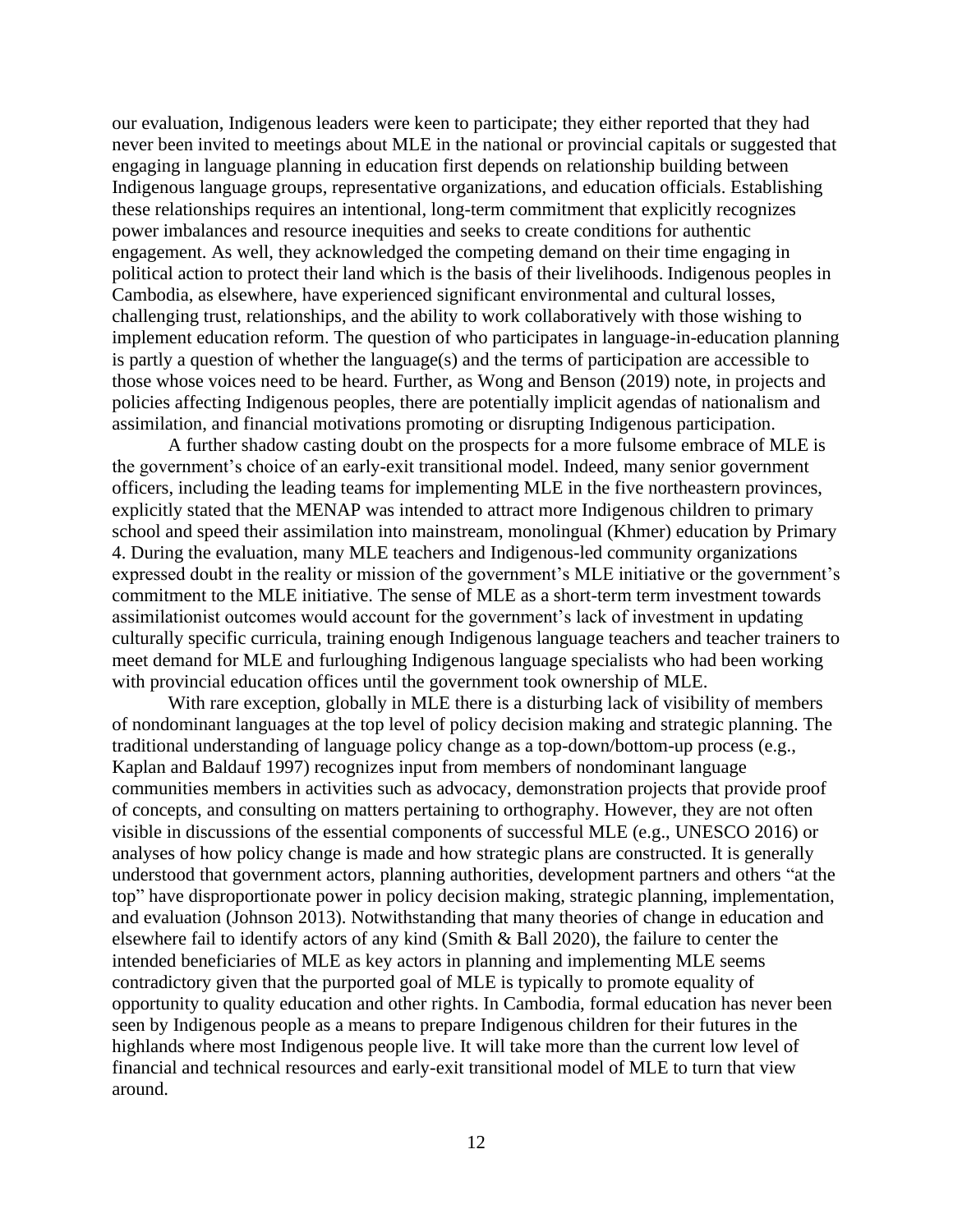our evaluation, Indigenous leaders were keen to participate; they either reported that they had never been invited to meetings about MLE in the national or provincial capitals or suggested that engaging in language planning in education first depends on relationship building between Indigenous language groups, representative organizations, and education officials. Establishing these relationships requires an intentional, long-term commitment that explicitly recognizes power imbalances and resource inequities and seeks to create conditions for authentic engagement. As well, they acknowledged the competing demand on their time engaging in political action to protect their land which is the basis of their livelihoods. Indigenous peoples in Cambodia, as elsewhere, have experienced significant environmental and cultural losses, challenging trust, relationships, and the ability to work collaboratively with those wishing to implement education reform. The question of who participates in language-in-education planning is partly a question of whether the language(s) and the terms of participation are accessible to those whose voices need to be heard. Further, as Wong and Benson (2019) note, in projects and policies affecting Indigenous peoples, there are potentially implicit agendas of nationalism and assimilation, and financial motivations promoting or disrupting Indigenous participation.

A further shadow casting doubt on the prospects for a more fulsome embrace of MLE is the government's choice of an early-exit transitional model. Indeed, many senior government officers, including the leading teams for implementing MLE in the five northeastern provinces, explicitly stated that the MENAP was intended to attract more Indigenous children to primary school and speed their assimilation into mainstream, monolingual (Khmer) education by Primary 4. During the evaluation, many MLE teachers and Indigenous-led community organizations expressed doubt in the reality or mission of the government's MLE initiative or the government's commitment to the MLE initiative. The sense of MLE as a short-term term investment towards assimilationist outcomes would account for the government's lack of investment in updating culturally specific curricula, training enough Indigenous language teachers and teacher trainers to meet demand for MLE and furloughing Indigenous language specialists who had been working with provincial education offices until the government took ownership of MLE.

With rare exception, globally in MLE there is a disturbing lack of visibility of members of nondominant languages at the top level of policy decision making and strategic planning. The traditional understanding of language policy change as a top-down/bottom-up process (e.g., Kaplan and Baldauf 1997) recognizes input from members of nondominant language communities members in activities such as advocacy, demonstration projects that provide proof of concepts, and consulting on matters pertaining to orthography. However, they are not often visible in discussions of the essential components of successful MLE (e.g., UNESCO 2016) or analyses of how policy change is made and how strategic plans are constructed. It is generally understood that government actors, planning authorities, development partners and others "at the top" have disproportionate power in policy decision making, strategic planning, implementation, and evaluation (Johnson 2013). Notwithstanding that many theories of change in education and elsewhere fail to identify actors of any kind (Smith & Ball 2020), the failure to center the intended beneficiaries of MLE as key actors in planning and implementing MLE seems contradictory given that the purported goal of MLE is typically to promote equality of opportunity to quality education and other rights. In Cambodia, formal education has never been seen by Indigenous people as a means to prepare Indigenous children for their futures in the highlands where most Indigenous people live. It will take more than the current low level of financial and technical resources and early-exit transitional model of MLE to turn that view around.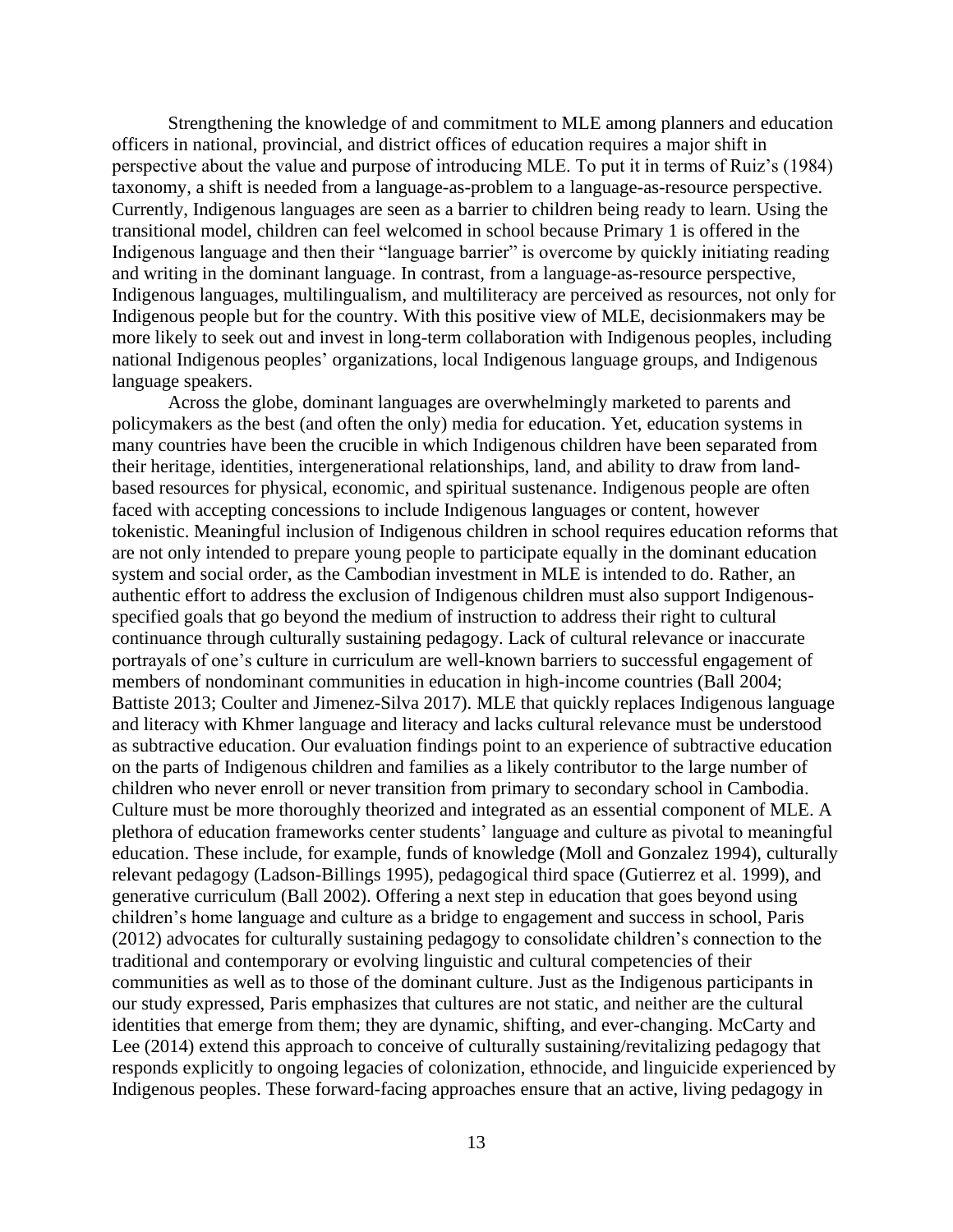Strengthening the knowledge of and commitment to MLE among planners and education officers in national, provincial, and district offices of education requires a major shift in perspective about the value and purpose of introducing MLE. To put it in terms of Ruiz's (1984) taxonomy, a shift is needed from a language-as-problem to a language-as-resource perspective. Currently, Indigenous languages are seen as a barrier to children being ready to learn. Using the transitional model, children can feel welcomed in school because Primary 1 is offered in the Indigenous language and then their "language barrier" is overcome by quickly initiating reading and writing in the dominant language. In contrast, from a language-as-resource perspective, Indigenous languages, multilingualism, and multiliteracy are perceived as resources, not only for Indigenous people but for the country. With this positive view of MLE, decisionmakers may be more likely to seek out and invest in long-term collaboration with Indigenous peoples, including national Indigenous peoples' organizations, local Indigenous language groups, and Indigenous language speakers.

Across the globe, dominant languages are overwhelmingly marketed to parents and policymakers as the best (and often the only) media for education. Yet, education systems in many countries have been the crucible in which Indigenous children have been separated from their heritage, identities, intergenerational relationships, land, and ability to draw from landbased resources for physical, economic, and spiritual sustenance. Indigenous people are often faced with accepting concessions to include Indigenous languages or content, however tokenistic. Meaningful inclusion of Indigenous children in school requires education reforms that are not only intended to prepare young people to participate equally in the dominant education system and social order, as the Cambodian investment in MLE is intended to do. Rather, an authentic effort to address the exclusion of Indigenous children must also support Indigenousspecified goals that go beyond the medium of instruction to address their right to cultural continuance through culturally sustaining pedagogy. Lack of cultural relevance or inaccurate portrayals of one's culture in curriculum are well-known barriers to successful engagement of members of nondominant communities in education in high-income countries (Ball 2004; Battiste 2013; Coulter and Jimenez-Silva 2017). MLE that quickly replaces Indigenous language and literacy with Khmer language and literacy and lacks cultural relevance must be understood as subtractive education. Our evaluation findings point to an experience of subtractive education on the parts of Indigenous children and families as a likely contributor to the large number of children who never enroll or never transition from primary to secondary school in Cambodia. Culture must be more thoroughly theorized and integrated as an essential component of MLE. A plethora of education frameworks center students' language and culture as pivotal to meaningful education. These include, for example, funds of knowledge (Moll and Gonzalez 1994), culturally relevant pedagogy (Ladson-Billings 1995), pedagogical third space (Gutierrez et al. 1999), and generative curriculum (Ball 2002). Offering a next step in education that goes beyond using children's home language and culture as a bridge to engagement and success in school, Paris (2012) advocates for culturally sustaining pedagogy to consolidate children's connection to the traditional and contemporary or evolving linguistic and cultural competencies of their communities as well as to those of the dominant culture. Just as the Indigenous participants in our study expressed, Paris emphasizes that cultures are not static, and neither are the cultural identities that emerge from them; they are dynamic, shifting, and ever-changing. McCarty and Lee (2014) extend this approach to conceive of culturally sustaining/revitalizing pedagogy that responds explicitly to ongoing legacies of colonization, ethnocide, and linguicide experienced by Indigenous peoples. These forward-facing approaches ensure that an active, living pedagogy in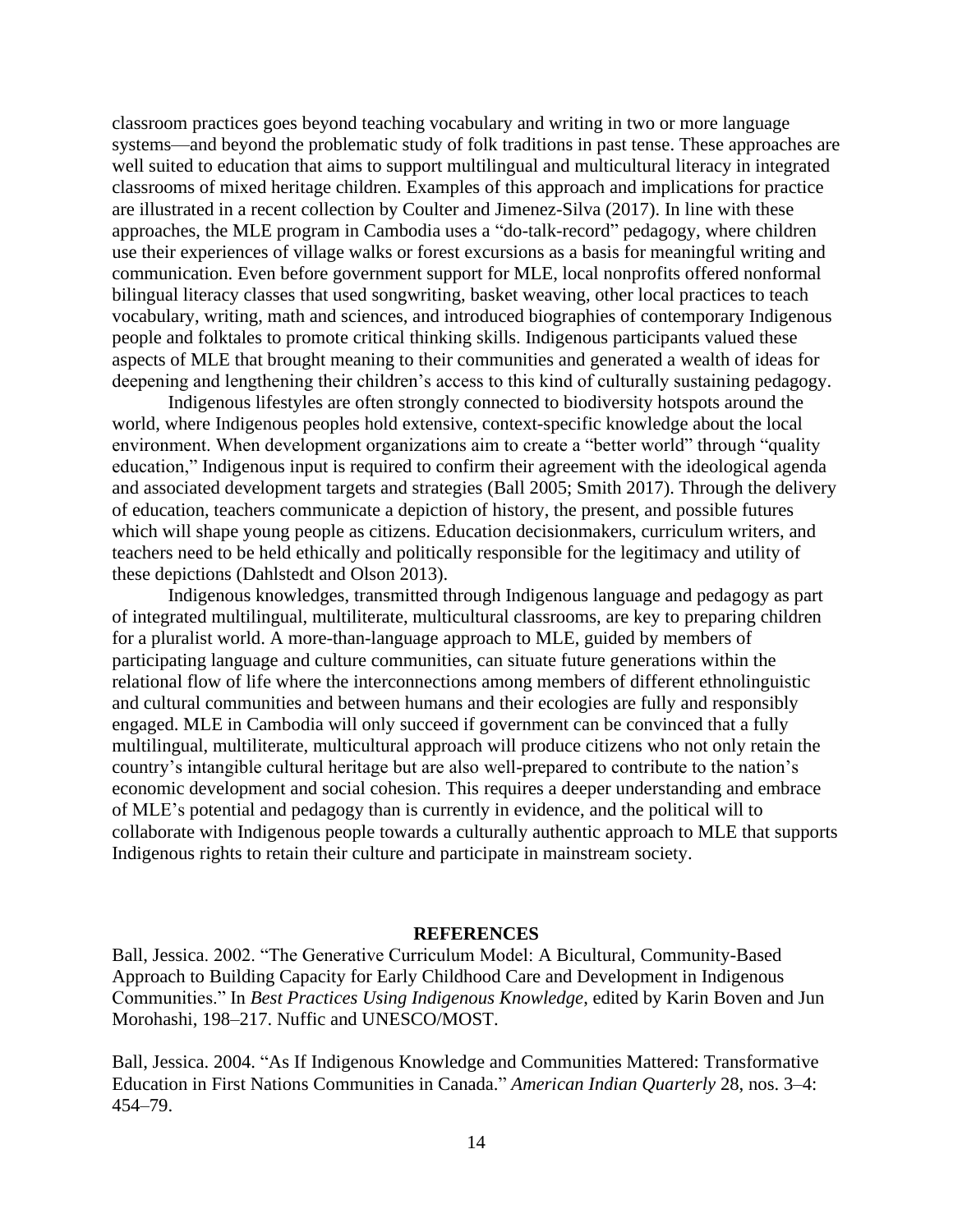classroom practices goes beyond teaching vocabulary and writing in two or more language systems—and beyond the problematic study of folk traditions in past tense. These approaches are well suited to education that aims to support multilingual and multicultural literacy in integrated classrooms of mixed heritage children. Examples of this approach and implications for practice are illustrated in a recent collection by Coulter and Jimenez-Silva (2017). In line with these approaches, the MLE program in Cambodia uses a "do-talk-record" pedagogy, where children use their experiences of village walks or forest excursions as a basis for meaningful writing and communication. Even before government support for MLE, local nonprofits offered nonformal bilingual literacy classes that used songwriting, basket weaving, other local practices to teach vocabulary, writing, math and sciences, and introduced biographies of contemporary Indigenous people and folktales to promote critical thinking skills. Indigenous participants valued these aspects of MLE that brought meaning to their communities and generated a wealth of ideas for deepening and lengthening their children's access to this kind of culturally sustaining pedagogy.

Indigenous lifestyles are often strongly connected to biodiversity hotspots around the world, where Indigenous peoples hold extensive, context-specific knowledge about the local environment. When development organizations aim to create a "better world" through "quality education," Indigenous input is required to confirm their agreement with the ideological agenda and associated development targets and strategies (Ball 2005; Smith 2017). Through the delivery of education, teachers communicate a depiction of history, the present, and possible futures which will shape young people as citizens. Education decisionmakers, curriculum writers, and teachers need to be held ethically and politically responsible for the legitimacy and utility of these depictions (Dahlstedt and Olson 2013).

Indigenous knowledges, transmitted through Indigenous language and pedagogy as part of integrated multilingual, multiliterate, multicultural classrooms, are key to preparing children for a pluralist world. A more-than-language approach to MLE, guided by members of participating language and culture communities, can situate future generations within the relational flow of life where the interconnections among members of different ethnolinguistic and cultural communities and between humans and their ecologies are fully and responsibly engaged. MLE in Cambodia will only succeed if government can be convinced that a fully multilingual, multiliterate, multicultural approach will produce citizens who not only retain the country's intangible cultural heritage but are also well-prepared to contribute to the nation's economic development and social cohesion. This requires a deeper understanding and embrace of MLE's potential and pedagogy than is currently in evidence, and the political will to collaborate with Indigenous people towards a culturally authentic approach to MLE that supports Indigenous rights to retain their culture and participate in mainstream society.

### **REFERENCES**

Ball, Jessica. 2002. "The Generative Curriculum Model: A Bicultural, Community-Based Approach to Building Capacity for Early Childhood Care and Development in Indigenous Communities." In *Best Practices Using Indigenous Knowledge*, edited by Karin Boven and Jun Morohashi, 198–217. Nuffic and UNESCO/MOST.

Ball, Jessica. 2004. "As If Indigenous Knowledge and Communities Mattered: Transformative Education in First Nations Communities in Canada." *American Indian Quarterly* 28, nos. 3–4: 454–79.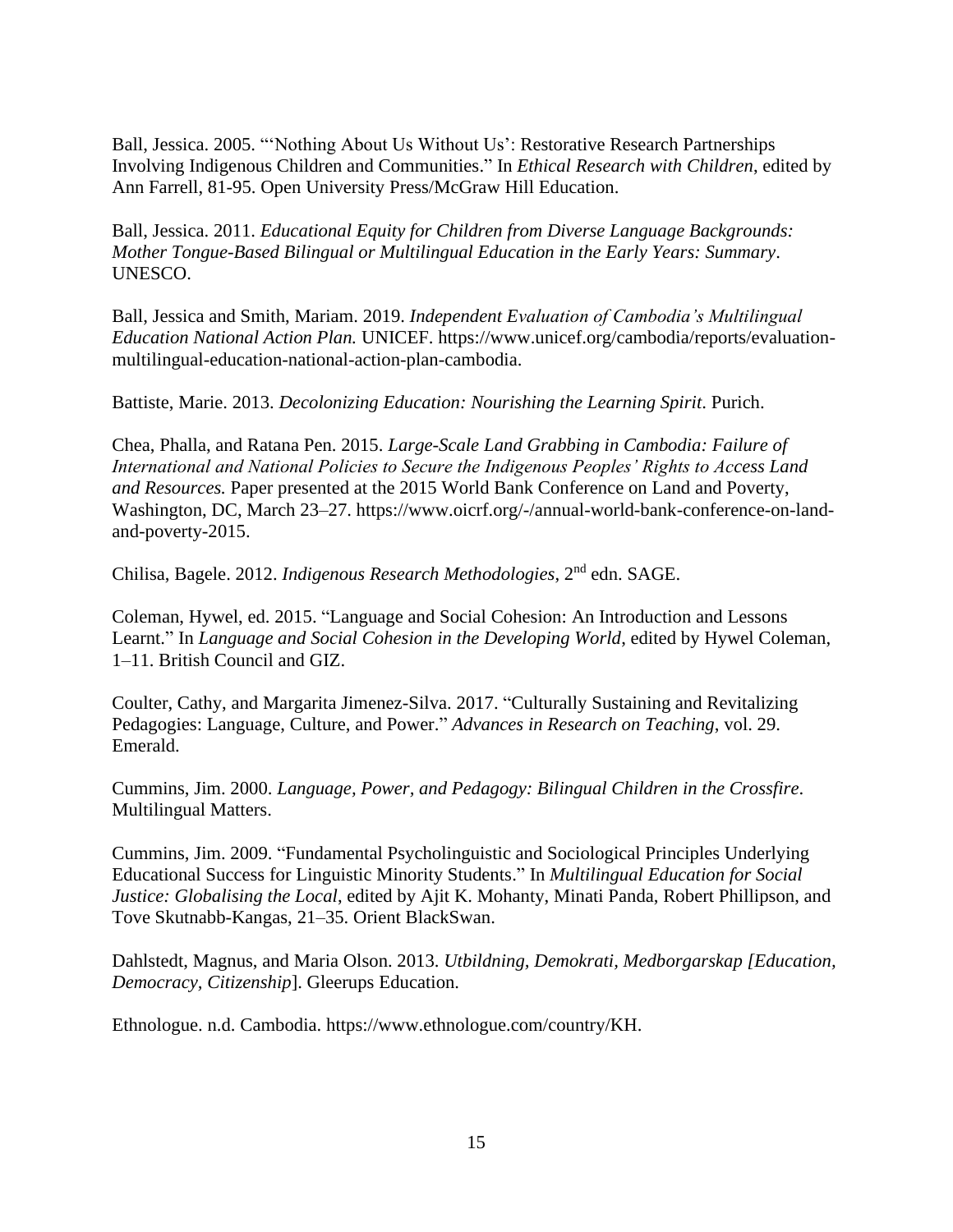Ball, Jessica. 2005. "'Nothing About Us Without Us': Restorative Research Partnerships Involving Indigenous Children and Communities." In *Ethical Research with Children*, edited by Ann Farrell, 81-95. Open University Press/McGraw Hill Education.

Ball, Jessica. 2011. *Educational Equity for Children from Diverse Language Backgrounds: Mother Tongue-Based Bilingual or Multilingual Education in the Early Years: Summary*. UNESCO.

Ball, Jessica and Smith, Mariam. 2019. *Independent Evaluation of Cambodia's Multilingual Education National Action Plan.* UNICEF. [https://www.unicef.org/cambodia/reports/evaluation](https://www.unicef.org/cambodia/reports/evaluation-multilingual-education-national-action-plan-cambodia)[multilingual-education-national-action-plan-cambodia.](https://www.unicef.org/cambodia/reports/evaluation-multilingual-education-national-action-plan-cambodia)

Battiste, Marie. 2013. *Decolonizing Education: Nourishing the Learning Spirit*. Purich.

Chea, Phalla, and Ratana Pen. 2015. *Large-Scale Land Grabbing in Cambodia: Failure of International and National Policies to Secure the Indigenous Peoples' Rights to Access Land and Resources.* Paper presented at the 2015 World Bank Conference on Land and Poverty, Washington, DC, March 23–27. [https://www.oicrf.org/-/annual-world-bank-conference-on-land](https://www.oicrf.org/-/annual-world-bank-conference-on-land-and-poverty-2015)[and-poverty-2015.](https://www.oicrf.org/-/annual-world-bank-conference-on-land-and-poverty-2015)

Chilisa, Bagele. 2012. *Indigenous Research Methodologies*, 2 nd edn. SAGE.

Coleman, Hywel, ed. 2015. "Language and Social Cohesion: An Introduction and Lessons Learnt." In *Language and Social Cohesion in the Developing World*, edited by Hywel Coleman, 1–11. British Council and GIZ.

Coulter, Cathy, and Margarita Jimenez-Silva. 2017. "Culturally Sustaining and Revitalizing Pedagogies: Language, Culture, and Power." *Advances in Research on Teaching*, vol. 29. Emerald.

Cummins, Jim. 2000. *Language, Power, and Pedagogy: Bilingual Children in the Crossfire*. Multilingual Matters.

Cummins, Jim. 2009. "Fundamental Psycholinguistic and Sociological Principles Underlying Educational Success for Linguistic Minority Students." In *Multilingual Education for Social Justice: Globalising the Local*, edited by Ajit K. Mohanty, Minati Panda, Robert Phillipson, and Tove Skutnabb-Kangas, 21–35. Orient BlackSwan.

Dahlstedt, Magnus, and Maria Olson. 2013. *Utbildning, Demokrati, Medborgarskap [Education, Democracy, Citizenship*]. Gleerups Education.

Ethnologue. n.d. Cambodia. [https://www.ethnologue.com/country/KH.](https://www.ethnologue.com/country/KH)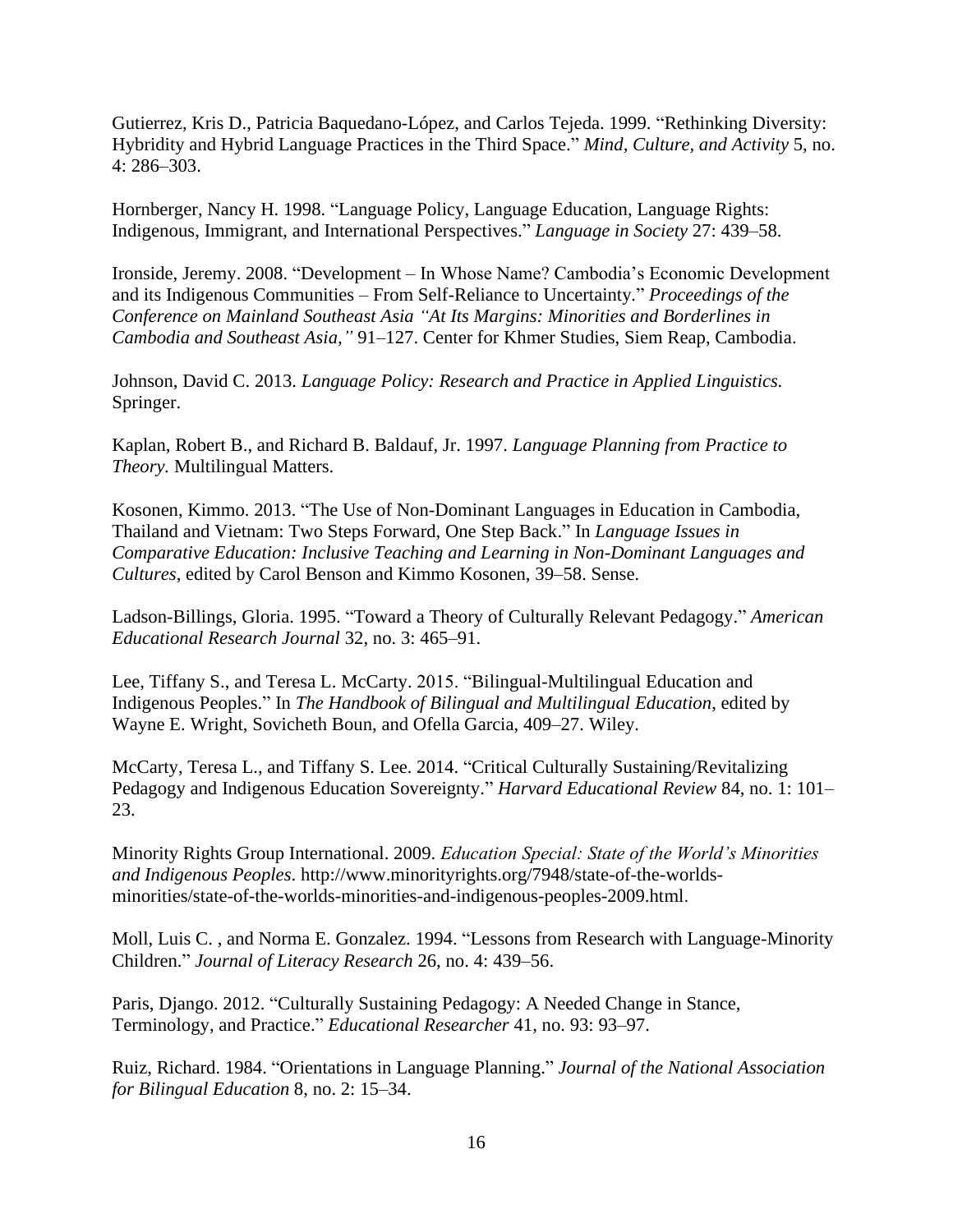Gutierrez, Kris D., Patricia Baquedano-López, and Carlos Tejeda. 1999. "Rethinking Diversity: Hybridity and Hybrid Language Practices in the Third Space." *Mind, Culture, and Activity* 5, no. 4: 286–303.

Hornberger, Nancy H. 1998. "Language Policy, Language Education, Language Rights: Indigenous, Immigrant, and International Perspectives." *Language in Society* 27: 439–58.

Ironside, Jeremy. 2008. "Development – In Whose Name? Cambodia's Economic Development and its Indigenous Communities – From Self-Reliance to Uncertainty*.*" *Proceedings of the Conference on Mainland Southeast Asia "At Its Margins: Minorities and Borderlines in Cambodia and Southeast Asia,"* 91–127. Center for Khmer Studies, Siem Reap, Cambodia.

Johnson, David C. 2013. *Language Policy: Research and Practice in Applied Linguistics.* Springer.

Kaplan, Robert B., and Richard B. Baldauf, Jr. 1997. *Language Planning from Practice to Theory.* Multilingual Matters.

Kosonen, Kimmo. 2013. "The Use of Non-Dominant Languages in Education in Cambodia, Thailand and Vietnam: Two Steps Forward, One Step Back." In *Language Issues in Comparative Education: Inclusive Teaching and Learning in Non-Dominant Languages and Cultures*, edited by Carol Benson and Kimmo Kosonen, 39–58. Sense.

Ladson-Billings, Gloria. 1995. "Toward a Theory of Culturally Relevant Pedagogy." *American Educational Research Journal* 32, no. 3: 465–91.

Lee, Tiffany S., and Teresa L. McCarty. 2015. "Bilingual-Multilingual Education and Indigenous Peoples." In *The Handbook of Bilingual and Multilingual Education*, edited by Wayne E. Wright, Sovicheth Boun, and Ofella Garcia, 409–27. Wiley.

McCarty, Teresa L., and Tiffany S. Lee. 2014. "Critical Culturally Sustaining/Revitalizing Pedagogy and Indigenous Education Sovereignty." *Harvard Educational Review* 84, no. 1: 101– 23.

Minority Rights Group International. 2009. *Education Special: State of the World's Minorities and Indigenous Peoples*. [http://www.minorityrights.org/7948/state-of-the-worlds](http://www.minorityrights.org/7948/state-of-the-worlds-minorities/state-of-the-worlds-minorities-and-indigenous-peoples-2009.html)[minorities/state-of-the-worlds-minorities-and-indigenous-peoples-2009.html.](http://www.minorityrights.org/7948/state-of-the-worlds-minorities/state-of-the-worlds-minorities-and-indigenous-peoples-2009.html)

Moll, Luis C. , and Norma E. Gonzalez. 1994. "Lessons from Research with Language-Minority Children." *Journal of Literacy Research* 26, no. 4: 439–56.

Paris, Django. 2012. "Culturally Sustaining Pedagogy: A Needed Change in Stance, Terminology, and Practice." *Educational Researcher* 41, no. 93: 93–97.

Ruiz, Richard. 1984. "Orientations in Language Planning." *Journal of the National Association for Bilingual Education* 8, no. 2: 15–34.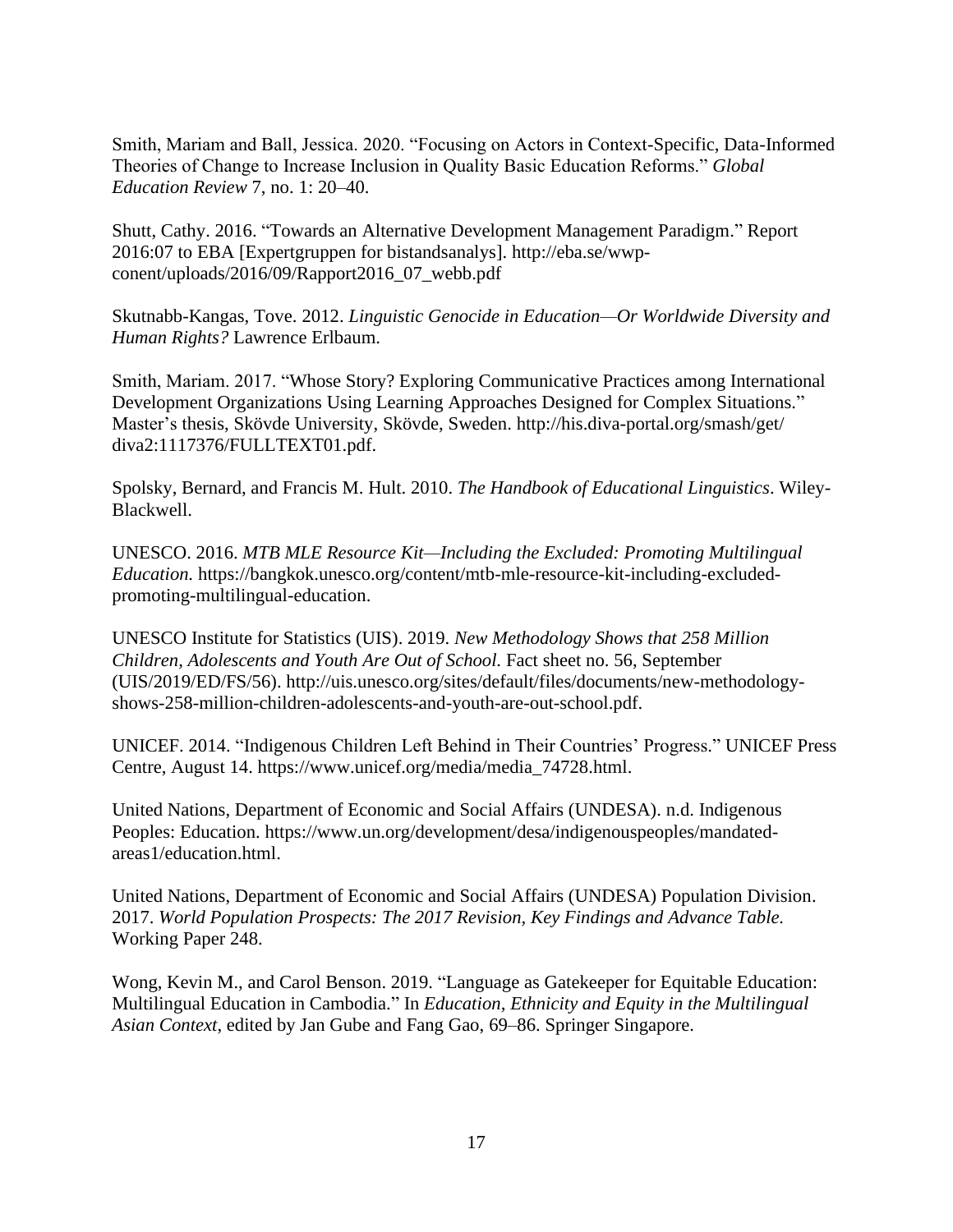Smith, Mariam and Ball, Jessica. 2020. "Focusing on Actors in Context-Specific, Data-Informed Theories of Change to Increase Inclusion in Quality Basic Education Reforms." *Global Education Review* 7, no. 1: 20–40.

Shutt, Cathy. 2016. "Towards an Alternative Development Management Paradigm." Report 2016:07 to EBA [Expertgruppen for bistandsanalys]. [http://eba.se/wwp](http://eba.se/wwp-conent/uploads/2016/09/Rapport2016_07_webb.pdf)[conent/uploads/2016/09/Rapport2016\\_07\\_webb.pdf](http://eba.se/wwp-conent/uploads/2016/09/Rapport2016_07_webb.pdf)

Skutnabb-Kangas, Tove. 2012. *Linguistic Genocide in Education—Or Worldwide Diversity and Human Rights?* Lawrence Erlbaum.

Smith, Mariam. 2017. "Whose Story? Exploring Communicative Practices among International Development Organizations Using Learning Approaches Designed for Complex Situations." Master's thesis, Skövde University, Skövde, Sweden. <http://his.diva-portal.org/smash/get/> [diva2:1117376/FULLTEXT01.pdf.](http://his.diva-portal.org/smash/get/)

Spolsky, Bernard, and Francis M. Hult. 2010. *The Handbook of Educational Linguistics*. Wiley-Blackwell.

UNESCO. 2016. *MTB MLE Resource Kit—Including the Excluded: Promoting Multilingual Education.* [https://bangkok.unesco.org/content/mtb-mle-resource-kit-including-excluded](https://bangkok.unesco.org/content/mtb-mle-resource-kit-including-excluded-promoting-multilingual-education)[promoting-multilingual-education.](https://bangkok.unesco.org/content/mtb-mle-resource-kit-including-excluded-promoting-multilingual-education)

UNESCO Institute for Statistics (UIS). 2019. *New Methodology Shows that 258 Million Children, Adolescents and Youth Are Out of School.* Fact sheet no. 56, September (UIS/2019/ED/FS/56). [http://uis.unesco.org/sites/default/files/documents/new-methodology](http://uis.unesco.org/sites/default/files/documents/new-methodology-shows-258-million-children-adolescents-and-youth-are-out-school.pdf)[shows-258-million-children-adolescents-and-youth-are-out-school.pdf.](http://uis.unesco.org/sites/default/files/documents/new-methodology-shows-258-million-children-adolescents-and-youth-are-out-school.pdf)

UNICEF. 2014. "Indigenous Children Left Behind in Their Countries' Progress." UNICEF Press Centre, August 14. [https://www.unicef.org/media/media\\_74728.html.](https://www.unicef.org/media/media_74728.html)

United Nations, Department of Economic and Social Affairs (UNDESA). n.d. Indigenous Peoples: Education. [https://www.un.org/development/desa/indigenouspeoples/mandated](https://www.un.org/development/desa/indigenouspeoples/mandated-areas1/education.html)[areas1/education.html.](https://www.un.org/development/desa/indigenouspeoples/mandated-areas1/education.html)

United Nations, Department of Economic and Social Affairs (UNDESA) Population Division. 2017. *World Population Prospects: The 2017 Revision, Key Findings and Advance Table.*  Working Paper 248.

Wong, Kevin M., and Carol Benson. 2019. "Language as Gatekeeper for Equitable Education: Multilingual Education in Cambodia." In *Education, Ethnicity and Equity in the Multilingual Asian Context*, edited by Jan Gube and Fang Gao, 69–86. Springer Singapore.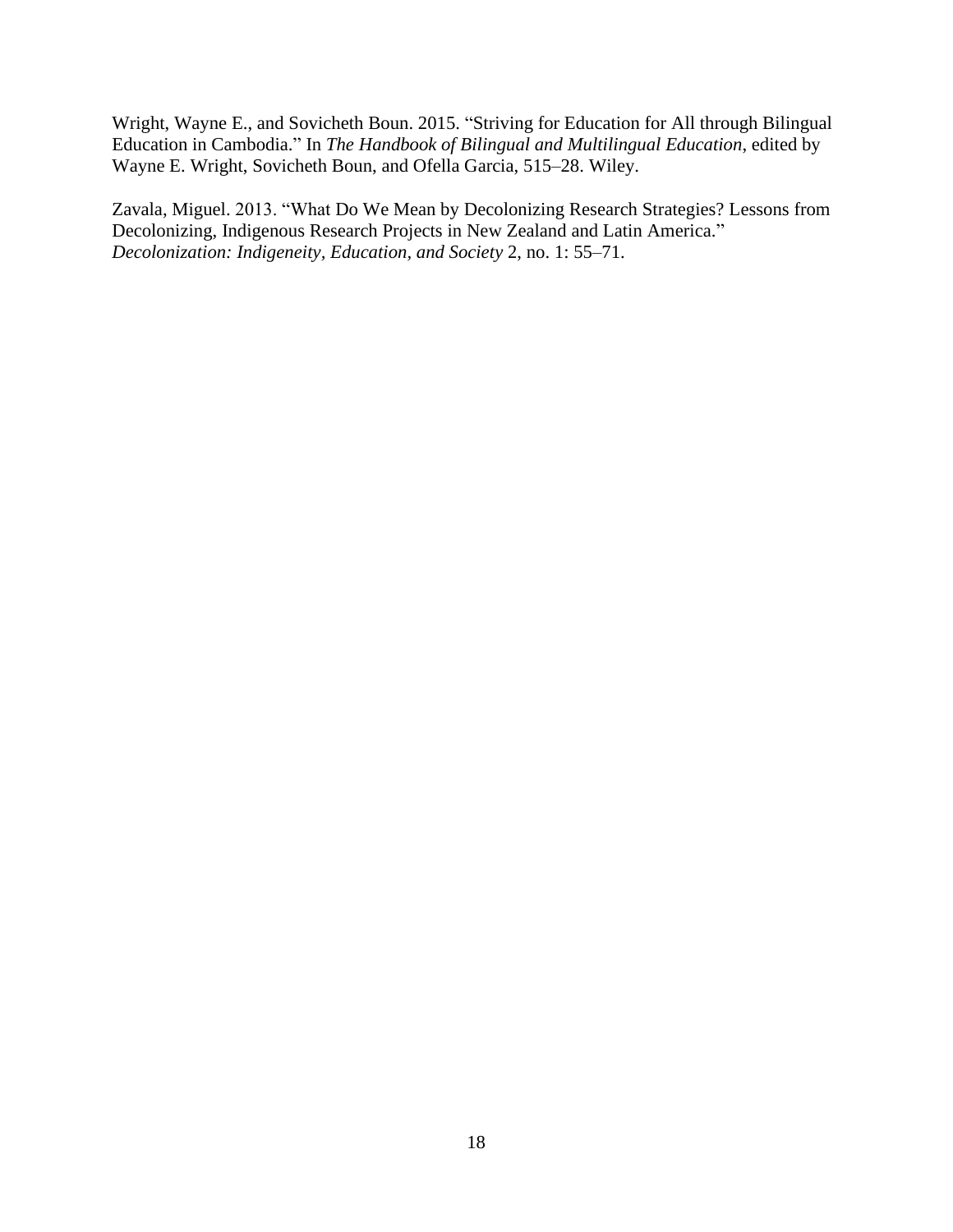Wright, Wayne E., and Sovicheth Boun. 2015. "Striving for Education for All through Bilingual Education in Cambodia." In *The Handbook of Bilingual and Multilingual Education*, edited by Wayne E. Wright, Sovicheth Boun, and Ofella Garcia, 515–28. Wiley.

Zavala, Miguel. 2013. "What Do We Mean by Decolonizing Research Strategies? Lessons from Decolonizing, Indigenous Research Projects in New Zealand and Latin America." *Decolonization: Indigeneity, Education, and Society* 2, no. 1: 55–71.